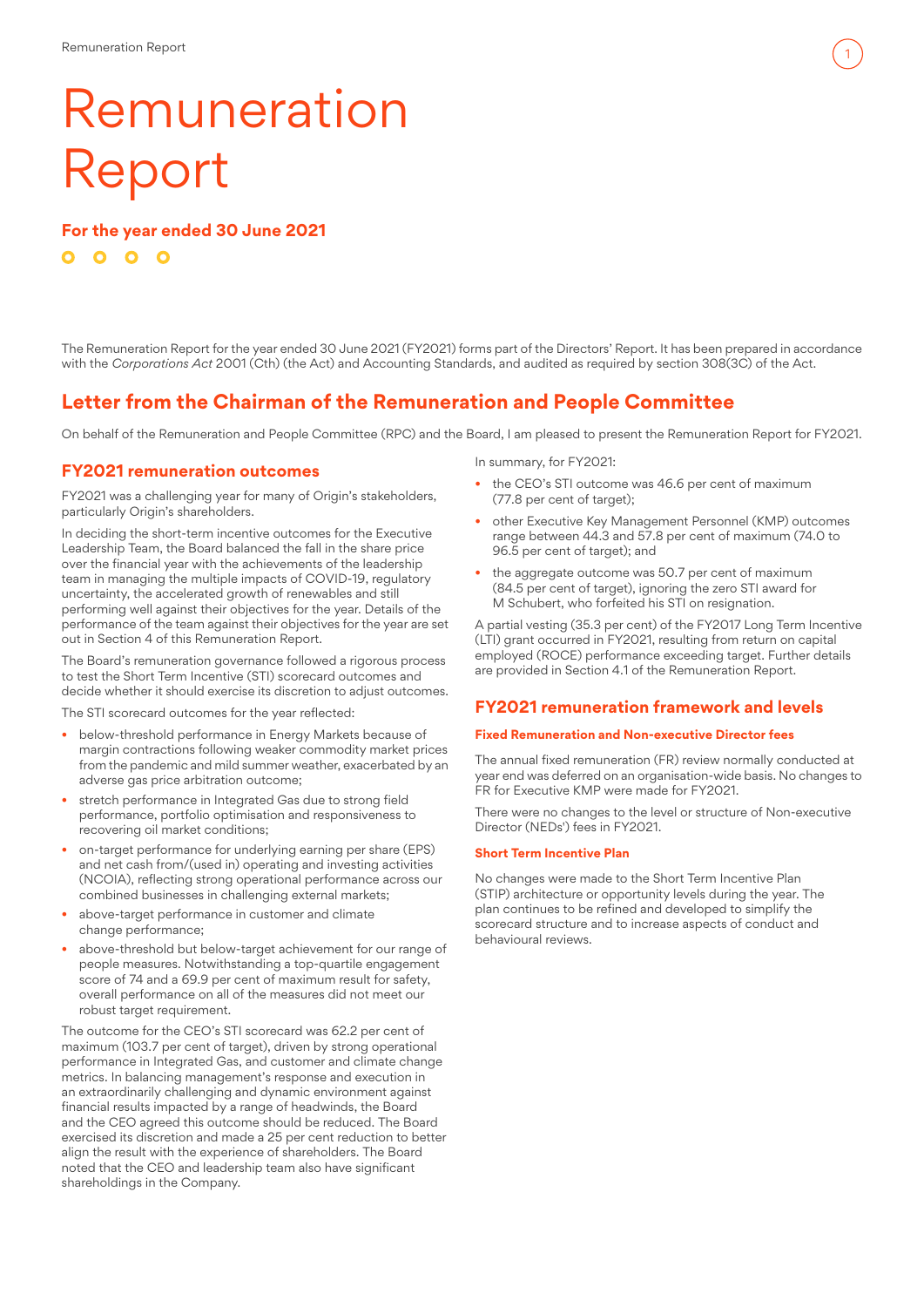# Remuneration Report

**For the year ended 30 June 2021**  $0000$ 

The Remuneration Report for the year ended 30 June 2021 (FY2021) forms part of the Directors' Report. It has been prepared in accordance with the *Corporations Act* 2001 (Cth) (the Act) and Accounting Standards, and audited as required by section 308(3C) of the Act.

## **Letter from the Chairman of the Remuneration and People Committee**

On behalf of the Remuneration and People Committee (RPC) and the Board, I am pleased to present the Remuneration Report for FY2021.

## **FY2021 remuneration outcomes**

FY2021 was a challenging year for many of Origin's stakeholders, particularly Origin's shareholders.

In deciding the short-term incentive outcomes for the Executive Leadership Team, the Board balanced the fall in the share price over the financial year with the achievements of the leadership team in managing the multiple impacts of COVID-19, regulatory uncertainty, the accelerated growth of renewables and still performing well against their objectives for the year. Details of the performance of the team against their objectives for the year are set out in Section 4 of this Remuneration Report.

The Board's remuneration governance followed a rigorous process to test the Short Term Incentive (STI) scorecard outcomes and decide whether it should exercise its discretion to adjust outcomes.

The STI scorecard outcomes for the year reflected:

- below-threshold performance in Energy Markets because of margin contractions following weaker commodity market prices from the pandemic and mild summer weather, exacerbated by an adverse gas price arbitration outcome:
- stretch performance in Integrated Gas due to strong field performance, portfolio optimisation and responsiveness to recovering oil market conditions;
- on-target performance for underlying earning per share (EPS) and net cash from/(used in) operating and investing activities (NCOIA), reflecting strong operational performance across our combined businesses in challenging external markets;
- above-target performance in customer and climate change performance;
- above-threshold but below-target achievement for our range of people measures. Notwithstanding a top-quartile engagement score of 74 and a 69.9 per cent of maximum result for safety, overall performance on all of the measures did not meet our robust target requirement.

The outcome for the CEO's STI scorecard was 62.2 per cent of maximum (103.7 per cent of target), driven by strong operational performance in Integrated Gas, and customer and climate change metrics. In balancing management's response and execution in an extraordinarily challenging and dynamic environment against financial results impacted by a range of headwinds, the Board and the CEO agreed this outcome should be reduced. The Board exercised its discretion and made a 25 per cent reduction to better align the result with the experience of shareholders. The Board noted that the CEO and leadership team also have significant shareholdings in the Company.

In summary, for FY2021:

- the CEO's STI outcome was 46.6 per cent of maximum (77.8 per cent of target);
- other Executive Key Management Personnel (KMP) outcomes range between 44.3 and 57.8 per cent of maximum (74.0 to 96.5 per cent of target); and

1

the aggregate outcome was 50.7 per cent of maximum (84.5 per cent of target), ignoring the zero STI award for M Schubert, who forfeited his STI on resignation.

A partial vesting (35.3 per cent) of the FY2017 Long Term Incentive (LTI) grant occurred in FY2021, resulting from return on capital employed (ROCE) performance exceeding target. Further details are provided in Section 4.1 of the Remuneration Report.

## **FY2021 remuneration framework and levels**

#### **Fixed Remuneration and Non-executive Director fees**

The annual fixed remuneration (FR) review normally conducted at year end was deferred on an organisation-wide basis. No changes to FR for Executive KMP were made for FY2021.

There were no changes to the level or structure of Non-executive Director (NEDs') fees in FY2021.

#### **Short Term Incentive Plan**

No changes were made to the Short Term Incentive Plan (STIP) architecture or opportunity levels during the year. The plan continues to be refined and developed to simplify the scorecard structure and to increase aspects of conduct and behavioural reviews.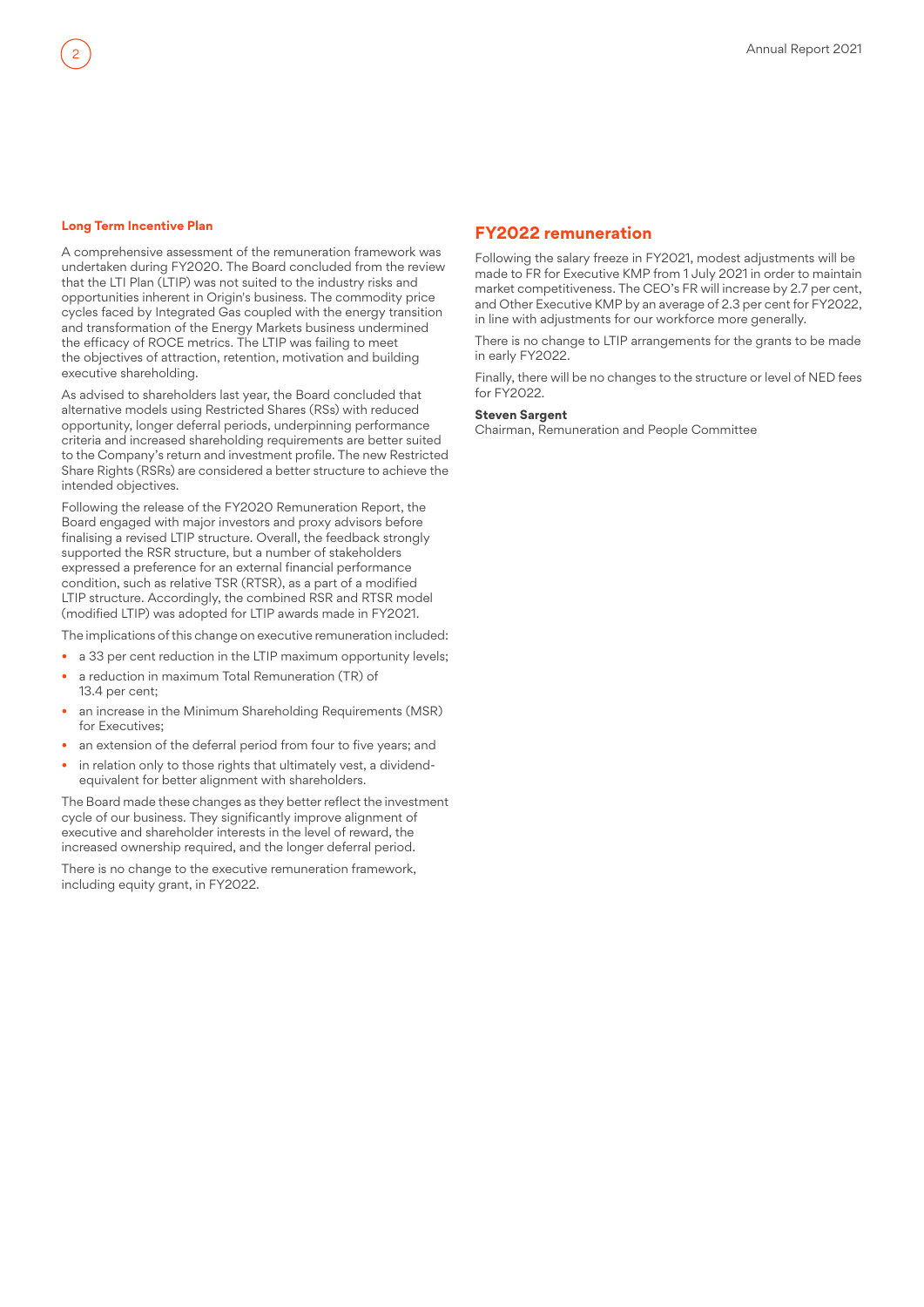#### **Long Term Incentive Plan**

2

A comprehensive assessment of the remuneration framework was undertaken during FY2020. The Board concluded from the review that the LTI Plan (LTIP) was not suited to the industry risks and opportunities inherent in Origin's business. The commodity price cycles faced by Integrated Gas coupled with the energy transition and transformation of the Energy Markets business undermined the efficacy of ROCE metrics. The LTIP was failing to meet the objectives of attraction, retention, motivation and building executive shareholding.

As advised to shareholders last year, the Board concluded that alternative models using Restricted Shares (RSs) with reduced opportunity, longer deferral periods, underpinning performance criteria and increased shareholding requirements are better suited to the Company's return and investment profile. The new Restricted Share Rights (RSRs) are considered a better structure to achieve the intended objectives.

Following the release of the FY2020 Remuneration Report, the Board engaged with major investors and proxy advisors before finalising a revised LTIP structure. Overall, the feedback strongly supported the RSR structure, but a number of stakeholders expressed a preference for an external financial performance condition, such as relative TSR (RTSR), as a part of a modified LTIP structure. Accordingly, the combined RSR and RTSR model (modified LTIP) was adopted for LTIP awards made in FY2021.

The implications of this change on executive remuneration included:

- a 33 per cent reduction in the LTIP maximum opportunity levels;
- a reduction in maximum Total Remuneration (TR) of 13.4 per cent;
- an increase in the Minimum Shareholding Requirements (MSR) for Executives;
- an extension of the deferral period from four to five years; and
- in relation only to those rights that ultimately vest, a dividendequivalent for better alignment with shareholders.

The Board made these changes as they better reflect the investment cycle of our business. They significantly improve alignment of executive and shareholder interests in the level of reward, the increased ownership required, and the longer deferral period.

There is no change to the executive remuneration framework, including equity grant, in FY2022.

## **FY2022 remuneration**

Following the salary freeze in FY2021, modest adjustments will be made to FR for Executive KMP from 1 July 2021 in order to maintain market competitiveness. The CEO's FR will increase by 2.7 per cent, and Other Executive KMP by an average of 2.3 per cent for FY2022, in line with adjustments for our workforce more generally.

There is no change to LTIP arrangements for the grants to be made in early FY2022.

Finally, there will be no changes to the structure or level of NED fees for FY2022.

#### **Steven Sargent**

Chairman, Remuneration and People Committee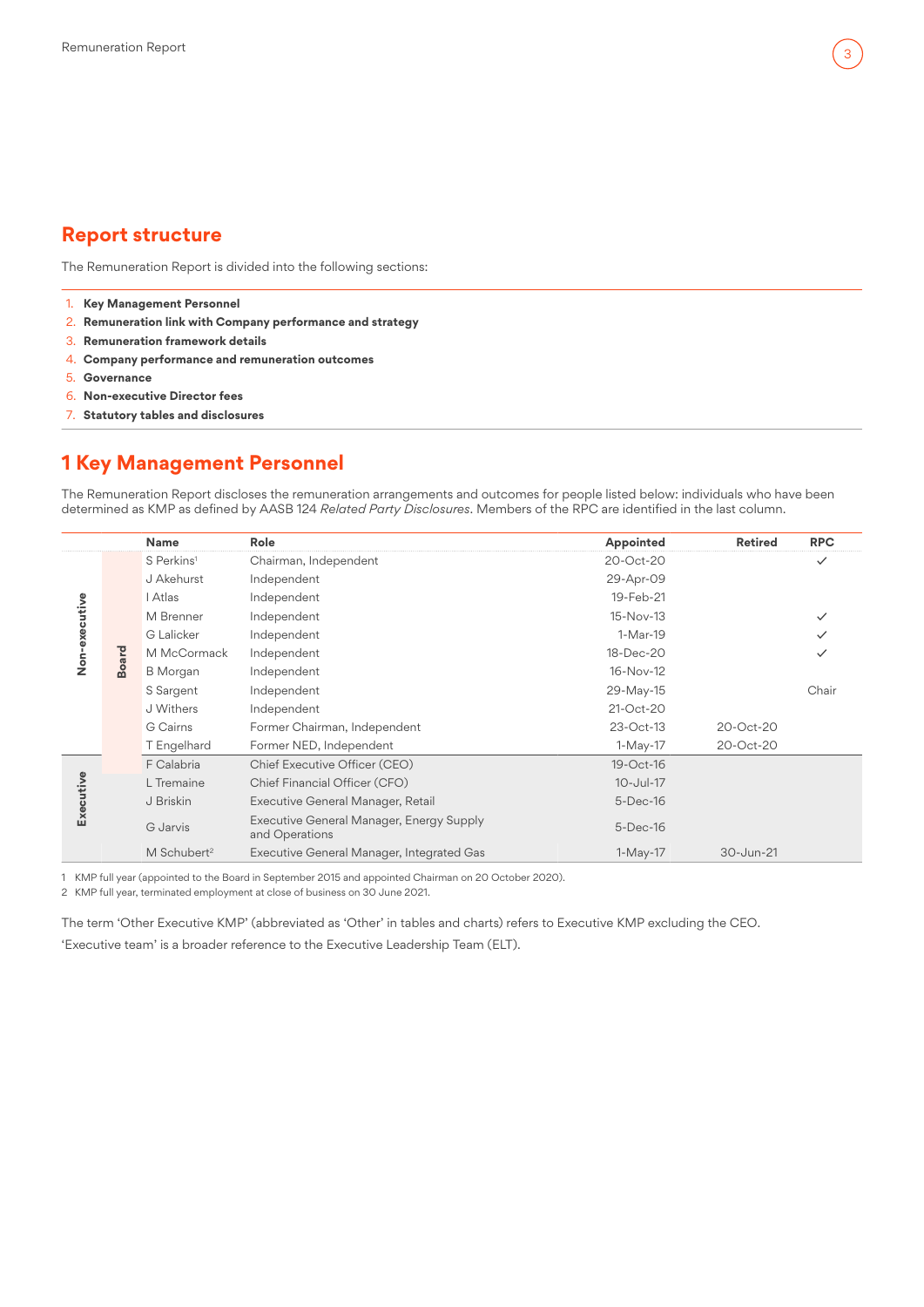## 3

## **Report structure**

The Remuneration Report is divided into the following sections:

- 1. **Key Management Personnel**
- 2. **[Remuneration link with Company performance and strategy](#page-3-0)**
- 3. **[Remuneration framework details](#page-4-0)**
- 4. **[Company performance and remuneration outcomes](#page-10-0)**
- 5. **[Governance](#page-14-0)**
- 6. **[Non-executive Director fees](#page-16-0)**
- 7. **[Statutory tables and disclosures](#page-17-0)**

## **1 Key Management Personnel**

The Remuneration Report discloses the remuneration arrangements and outcomes for people listed below: individuals who have been determined as KMP as defined by AASB 124 *Related Party Disclosures*. Members of the RPC are identified in the last column.

|               |              | <b>Name</b>             | Role                                                       | Appointed   | <b>Retired</b> | <b>RPC</b>   |
|---------------|--------------|-------------------------|------------------------------------------------------------|-------------|----------------|--------------|
| Non-executive |              | S Perkins <sup>1</sup>  | Chairman, Independent                                      | 20-Oct-20   |                | $\checkmark$ |
|               |              | J Akehurst              | Independent                                                | 29-Apr-09   |                |              |
|               |              | I Atlas                 | Independent                                                | 19-Feb-21   |                |              |
|               |              | M Brenner               | Independent                                                | 15-Nov-13   |                |              |
|               |              | G Lalicker              | Independent                                                | 1-Mar-19    |                |              |
|               |              | M McCormack             | Independent                                                | 18-Dec-20   |                | ✓            |
|               | <b>Board</b> | <b>B</b> Morgan         | Independent                                                | 16-Nov-12   |                |              |
|               |              | S Sargent               | Independent                                                | 29-May-15   |                | Chair        |
|               |              | J Withers               | Independent                                                | 21-Oct-20   |                |              |
|               |              | G Cairns                | Former Chairman, Independent                               | 23-Oct-13   | 20-Oct-20      |              |
|               |              | T Engelhard             | Former NED, Independent                                    | 1-May-17    | 20-Oct-20      |              |
|               |              | F Calabria              | Chief Executive Officer (CEO)                              | 19-Oct-16   |                |              |
|               |              | L Tremaine              | Chief Financial Officer (CFO)                              | 10-Jul-17   |                |              |
| Executive     |              | J Briskin               | Executive General Manager, Retail                          | $5$ -Dec-16 |                |              |
|               |              | G Jarvis                | Executive General Manager, Energy Supply<br>and Operations | $5$ -Dec-16 |                |              |
|               |              | M Schubert <sup>2</sup> | Executive General Manager, Integrated Gas                  | $1-May-17$  | 30-Jun-21      |              |

1 KMP full year (appointed to the Board in September 2015 and appointed Chairman on 20 October 2020).

2 KMP full year, terminated employment at close of business on 30 June 2021.

The term 'Other Executive KMP' (abbreviated as 'Other' in tables and charts) refers to Executive KMP excluding the CEO. 'Executive team' is a broader reference to the Executive Leadership Team (ELT).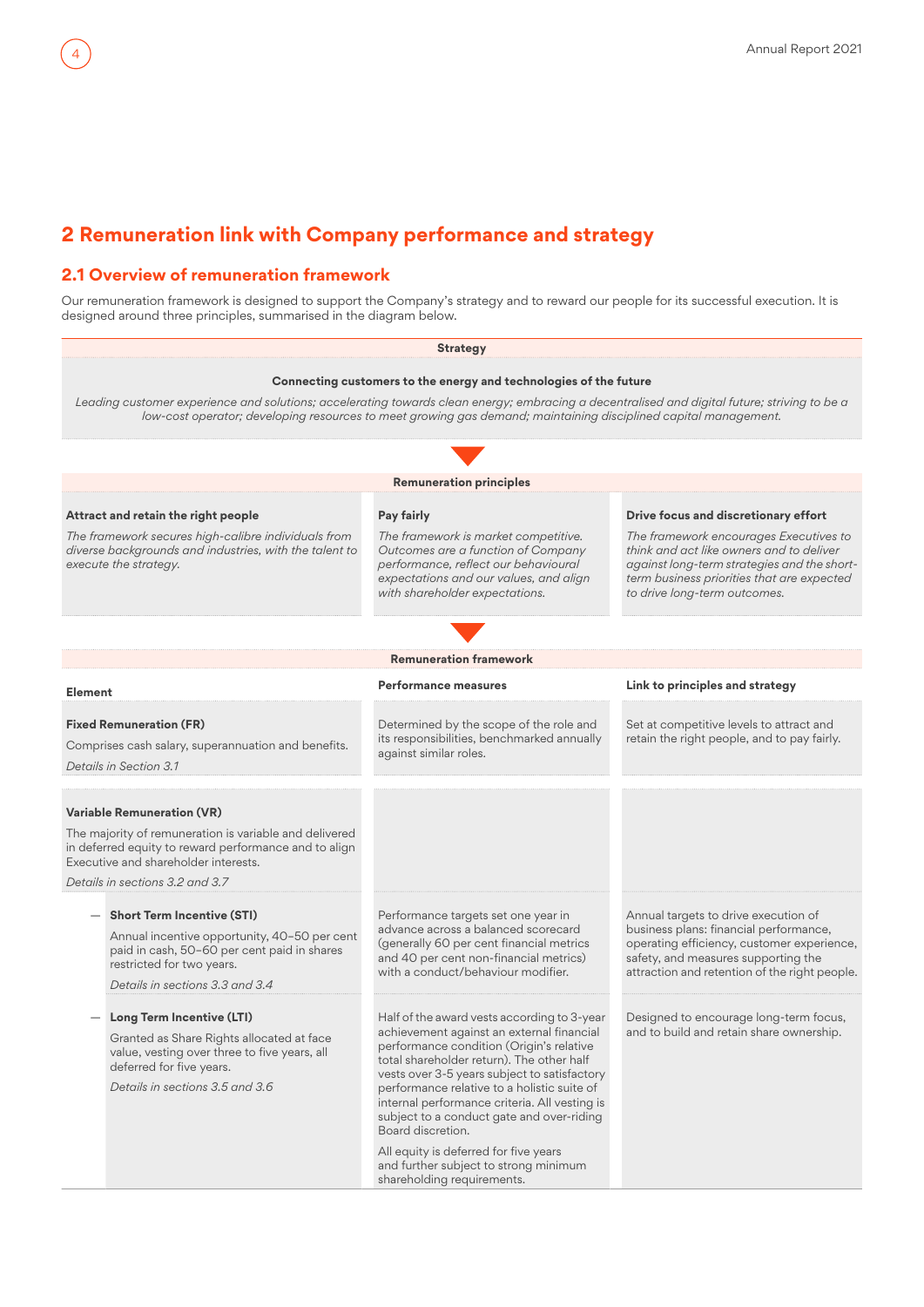## **2 Remuneration link with Company performance and strategy**

## **2.1 Overview of remuneration framework**

<span id="page-3-0"></span>4

Our remuneration framework is designed to support the Company's strategy and to reward our people for its successful execution. It is designed around three principles, summarised in the diagram below.

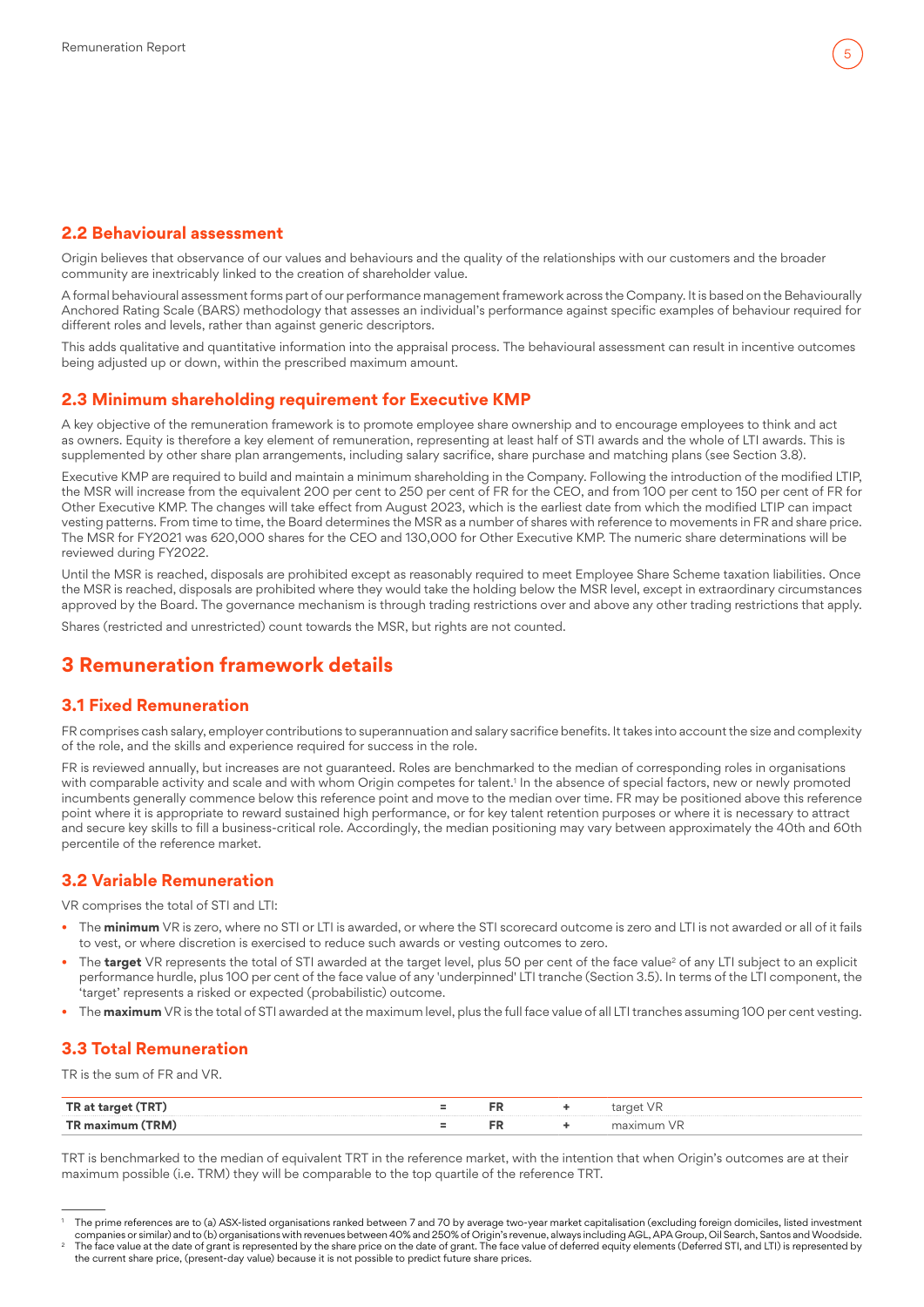## <span id="page-4-0"></span>**2.2 Behavioural assessment**

Origin believes that observance of our values and behaviours and the quality of the relationships with our customers and the broader community are inextricably linked to the creation of shareholder value.

A formal behavioural assessment forms part of our performance management framework across the Company. It is based on the Behaviourally Anchored Rating Scale (BARS) methodology that assesses an individual's performance against specific examples of behaviour required for different roles and levels, rather than against generic descriptors.

This adds qualitative and quantitative information into the appraisal process. The behavioural assessment can result in incentive outcomes being adjusted up or down, within the prescribed maximum amount.

## **2.3 Minimum shareholding requirement for Executive KMP**

A key objective of the remuneration framework is to promote employee share ownership and to encourage employees to think and act as owners. Equity is therefore a key element of remuneration, representing at least half of STI awards and the whole of LTI awards. This is supplemented by other share plan arrangements, including salary sacrifice, share purchase and matching plans (see Section 3.8).

Executive KMP are required to build and maintain a minimum shareholding in the Company. Following the introduction of the modified LTIP, the MSR will increase from the equivalent 200 per cent to 250 per cent of FR for the CEO, and from 100 per cent to 150 per cent of FR for Other Executive KMP. The changes will take effect from August 2023, which is the earliest date from which the modified LTIP can impact vesting patterns. From time to time, the Board determines the MSR as a number of shares with reference to movements in FR and share price. The MSR for FY2021 was 620,000 shares for the CEO and 130,000 for Other Executive KMP. The numeric share determinations will be reviewed during FY2022.

Until the MSR is reached, disposals are prohibited except as reasonably required to meet Employee Share Scheme taxation liabilities. Once the MSR is reached, disposals are prohibited where they would take the holding below the MSR level, except in extraordinary circumstances approved by the Board. The governance mechanism is through trading restrictions over and above any other trading restrictions that apply.

Shares (restricted and unrestricted) count towards the MSR, but rights are not counted.

## **3 Remuneration framework details**

## **3.1 Fixed Remuneration**

FR comprises cash salary, employer contributions to superannuation and salary sacrifice benefits. It takes into account the size and complexity of the role, and the skills and experience required for success in the role.

FR is reviewed annually, but increases are not guaranteed. Roles are benchmarked to the median of corresponding roles in organisations with comparable activity and scale and with whom Origin competes for talent.1 In the absence of special factors, new or newly promoted incumbents generally commence below this reference point and move to the median over time. FR may be positioned above this reference point where it is appropriate to reward sustained high performance, or for key talent retention purposes or where it is necessary to attract and secure key skills to fill a business-critical role. Accordingly, the median positioning may vary between approximately the 40th and 60th percentile of the reference market.

## **3.2 Variable Remuneration**

VR comprises the total of STI and LTI:

- The **minimum** VR is zero, where no STI or LTI is awarded, or where the STI scorecard outcome is zero and LTI is not awarded or all of it fails to vest, or where discretion is exercised to reduce such awards or vesting outcomes to zero.
- $\bullet$  The **target** VR represents the total of STI awarded at the target level, plus 50 per cent of the face value<sup>2</sup> of any LTI subject to an explicit performance hurdle, plus 100 per cent of the face value of any 'underpinned' LTI tranche (Section [3.5\)](#page-6-0). In terms of the LTI component, the 'target' represents a risked or expected (probabilistic) outcome.
- The **maximum** VR is the total of STI awarded at the maximum level, plus the full face value of all LTI tranches assuming 100 per cent vesting.

## **3.3 Total Remuneration**

TR is the sum of FR and VR.

|             | гn. | .                                                                                                               |
|-------------|-----|-----------------------------------------------------------------------------------------------------------------|
| $-1$<br>. . |     | the contract of the contract of the contract of the contract of the contract of the contract of the contract of |

TRT is benchmarked to the median of equivalent TRT in the reference market, with the intention that when Origin's outcomes are at their maximum possible (i.e. TRM) they will be comparable to the top quartile of the reference TRT.

<sup>1</sup> The prime references are to (a) ASX-listed organisations ranked between 7 and 70 by average two-year market capitalisation (excluding foreign domiciles, listed investment .companies or similar) and to (b) organisations with revenues between 40% and 250% of Origin's revenue, always including AGL, APA Group, Oil Search, Santos and Woodside.<br>The face value at the date of grant is represented b

the current share price, (present-day value) because it is not possible to predict future share prices.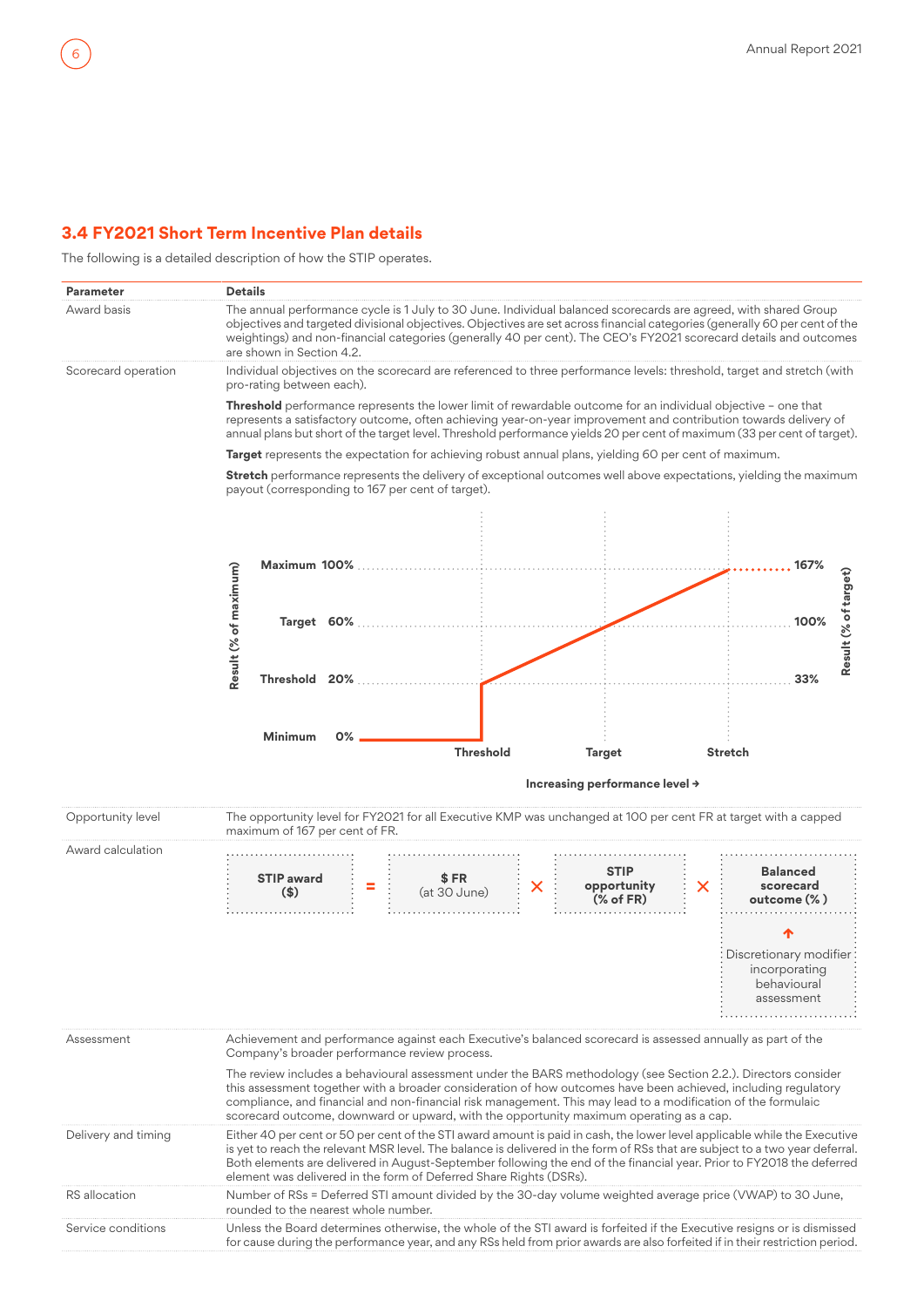## <span id="page-5-0"></span>**3.4 FY2021 Short Term Incentive Plan details**

The following is a detailed description of how the STIP operates.

| <b>Parameter</b>     | <b>Details</b>                                                                                                                                                                                                                                                                                                                                                                                                                                           |                                                                       |
|----------------------|----------------------------------------------------------------------------------------------------------------------------------------------------------------------------------------------------------------------------------------------------------------------------------------------------------------------------------------------------------------------------------------------------------------------------------------------------------|-----------------------------------------------------------------------|
| Award basis          | The annual performance cycle is 1 July to 30 June. Individual balanced scorecards are agreed, with shared Group<br>objectives and targeted divisional objectives. Objectives are set across financial categories (generally 60 per cent of the<br>weightings) and non-financial categories (generally 40 per cent). The CEO's FY2021 scorecard details and outcomes<br>are shown in Section 4.2.                                                         |                                                                       |
| Scorecard operation  | Individual objectives on the scorecard are referenced to three performance levels: threshold, target and stretch (with<br>pro-rating between each).                                                                                                                                                                                                                                                                                                      |                                                                       |
|                      | Threshold performance represents the lower limit of rewardable outcome for an individual objective - one that<br>represents a satisfactory outcome, often achieving year-on-year improvement and contribution towards delivery of<br>annual plans but short of the target level. Threshold performance yields 20 per cent of maximum (33 per cent of target).                                                                                            |                                                                       |
|                      | Target represents the expectation for achieving robust annual plans, yielding 60 per cent of maximum.                                                                                                                                                                                                                                                                                                                                                    |                                                                       |
|                      | Stretch performance represents the delivery of exceptional outcomes well above expectations, yielding the maximum<br>payout (corresponding to 167 per cent of target).                                                                                                                                                                                                                                                                                   |                                                                       |
|                      |                                                                                                                                                                                                                                                                                                                                                                                                                                                          | 167%                                                                  |
|                      | Result (% of maximum)<br>Target 60%                                                                                                                                                                                                                                                                                                                                                                                                                      | Result (% of target)<br>100%                                          |
|                      | Threshold 20%                                                                                                                                                                                                                                                                                                                                                                                                                                            | 33%                                                                   |
|                      | 0%<br><b>Minimum</b>                                                                                                                                                                                                                                                                                                                                                                                                                                     |                                                                       |
|                      | <b>Threshold</b><br><b>Stretch</b><br>Target                                                                                                                                                                                                                                                                                                                                                                                                             |                                                                       |
|                      | Increasing performance level >                                                                                                                                                                                                                                                                                                                                                                                                                           |                                                                       |
| Opportunity level    | The opportunity level for FY2021 for all Executive KMP was unchanged at 100 per cent FR at target with a capped<br>maximum of 167 per cent of FR.                                                                                                                                                                                                                                                                                                        |                                                                       |
| Award calculation    |                                                                                                                                                                                                                                                                                                                                                                                                                                                          |                                                                       |
|                      | <b>STIP</b><br><b>STIP award</b><br>\$FR<br>opportunity<br>X<br>X<br>$($)$<br>(at 30 June)<br>$%$ of FR $)$                                                                                                                                                                                                                                                                                                                                              | <b>Balanced</b><br>scorecard<br>outcome (%)                           |
|                      |                                                                                                                                                                                                                                                                                                                                                                                                                                                          |                                                                       |
|                      |                                                                                                                                                                                                                                                                                                                                                                                                                                                          | Discretionary modifier:<br>incorporating<br>behavioural<br>assessment |
| Assessment           | Achievement and performance against each Executive's balanced scorecard is assessed annually as part of the<br>Company's broader performance review process.                                                                                                                                                                                                                                                                                             |                                                                       |
|                      | The review includes a behavioural assessment under the BARS methodology (see Section 2.2.). Directors consider<br>this assessment together with a broader consideration of how outcomes have been achieved, including regulatory<br>compliance, and financial and non-financial risk management. This may lead to a modification of the formulaic<br>scorecard outcome, downward or upward, with the opportunity maximum operating as a cap.             |                                                                       |
| Delivery and timing  | Either 40 per cent or 50 per cent of the STI award amount is paid in cash, the lower level applicable while the Executive<br>is yet to reach the relevant MSR level. The balance is delivered in the form of RSs that are subject to a two year deferral.<br>Both elements are delivered in August-September following the end of the financial year. Prior to FY2018 the deferred<br>element was delivered in the form of Deferred Share Rights (DSRs). |                                                                       |
| <b>RS</b> allocation | Number of RSs = Deferred STI amount divided by the 30-day volume weighted average price (VWAP) to 30 June,                                                                                                                                                                                                                                                                                                                                               |                                                                       |
|                      | rounded to the nearest whole number.                                                                                                                                                                                                                                                                                                                                                                                                                     |                                                                       |

for cause during the performance year, and any RSs held from prior awards are also forfeited if in their restriction period.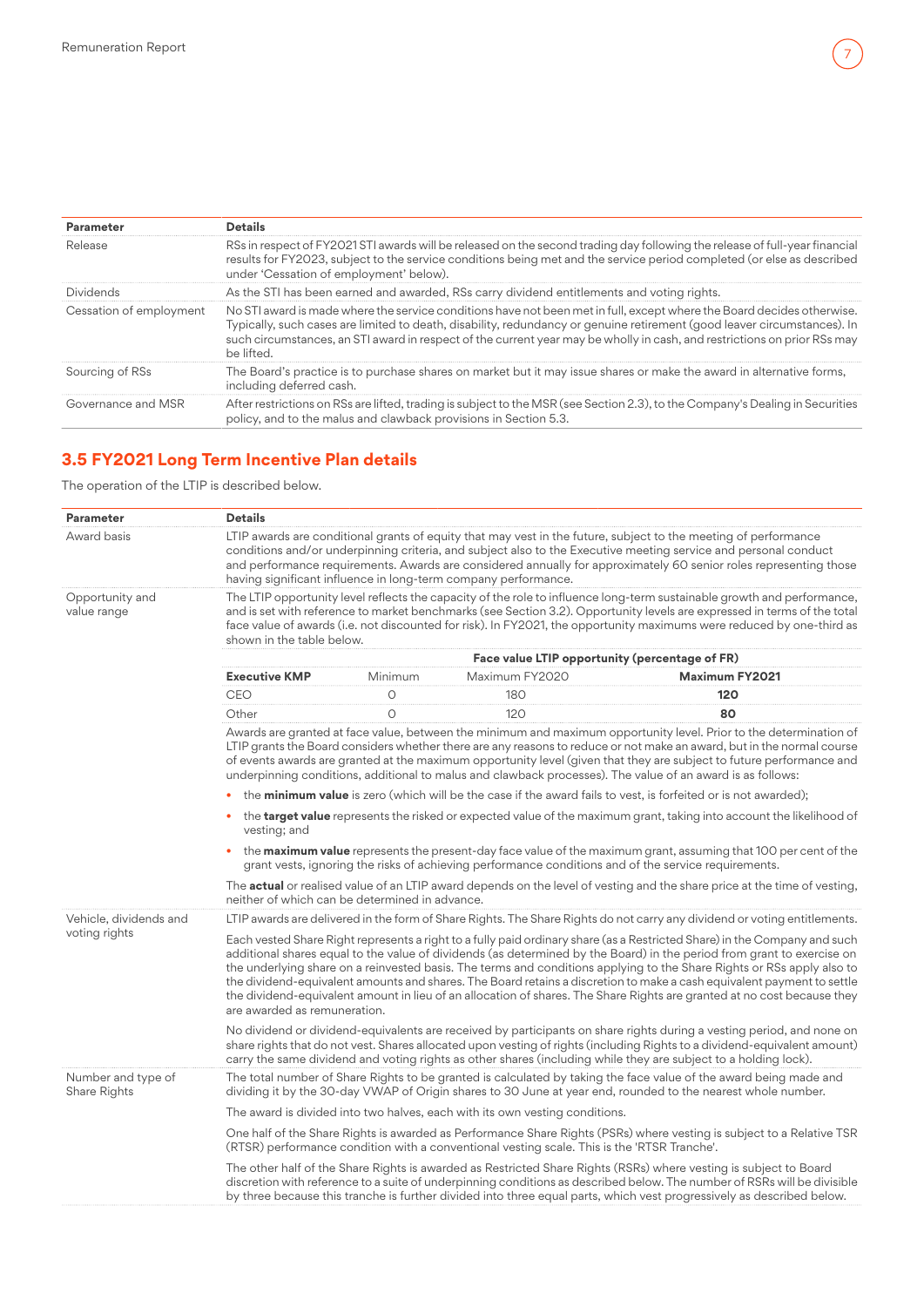<span id="page-6-0"></span>

| Parameter               | <b>Details</b>                                                                                                                                                                                                                                                                                                                                                                               |
|-------------------------|----------------------------------------------------------------------------------------------------------------------------------------------------------------------------------------------------------------------------------------------------------------------------------------------------------------------------------------------------------------------------------------------|
| Release                 | RSs in respect of FY2021 STI awards will be released on the second trading day following the release of full-year financial<br>results for FY2023, subject to the service conditions being met and the service period completed (or else as described<br>under 'Cessation of employment' below).                                                                                             |
| Dividends               | As the STI has been earned and awarded, RSs carry dividend entitlements and voting rights.                                                                                                                                                                                                                                                                                                   |
| Cessation of employment | No STI award is made where the service conditions have not been met in full, except where the Board decides otherwise.<br>Typically, such cases are limited to death, disability, redundancy or genuine retirement (good leaver circumstances). In<br>such circumstances, an STI award in respect of the current year may be wholly in cash, and restrictions on prior RSs may<br>he lifted. |
| Sourcing of RSs         | The Board's practice is to purchase shares on market but it may issue shares or make the award in alternative forms,<br>including deferred cash.                                                                                                                                                                                                                                             |
| Governance and MSR      | After restrictions on RSs are lifted, trading is subject to the MSR (see Section 2.3), to the Company's Dealing in Securities<br>policy, and to the malus and clawback provisions in Section 5.3.                                                                                                                                                                                            |

## **3.5 FY2021 Long Term Incentive Plan details**

## The operation of the LTIP is described below.

| <b>Parameter</b>                   | <b>Details</b>                                                                                                                                                                                                                                                                                                                                                                                                                                                                                                                                                                                                                                                     |         |                                                                                             |                                                                                                                                                                                                                                                                                                                                                                                                                                                                                    |  |  |  |
|------------------------------------|--------------------------------------------------------------------------------------------------------------------------------------------------------------------------------------------------------------------------------------------------------------------------------------------------------------------------------------------------------------------------------------------------------------------------------------------------------------------------------------------------------------------------------------------------------------------------------------------------------------------------------------------------------------------|---------|---------------------------------------------------------------------------------------------|------------------------------------------------------------------------------------------------------------------------------------------------------------------------------------------------------------------------------------------------------------------------------------------------------------------------------------------------------------------------------------------------------------------------------------------------------------------------------------|--|--|--|
| Award basis                        | LTIP awards are conditional grants of equity that may vest in the future, subject to the meeting of performance<br>conditions and/or underpinning criteria, and subject also to the Executive meeting service and personal conduct<br>and performance requirements. Awards are considered annually for approximately 60 senior roles representing those<br>having significant influence in long-term company performance.                                                                                                                                                                                                                                          |         |                                                                                             |                                                                                                                                                                                                                                                                                                                                                                                                                                                                                    |  |  |  |
| Opportunity and<br>value range     | shown in the table below.                                                                                                                                                                                                                                                                                                                                                                                                                                                                                                                                                                                                                                          |         |                                                                                             | The LTIP opportunity level reflects the capacity of the role to influence long-term sustainable growth and performance,<br>and is set with reference to market benchmarks (see Section 3.2). Opportunity levels are expressed in terms of the total<br>face value of awards (i.e. not discounted for risk). In FY2021, the opportunity maximums were reduced by one-third as                                                                                                       |  |  |  |
|                                    |                                                                                                                                                                                                                                                                                                                                                                                                                                                                                                                                                                                                                                                                    |         |                                                                                             | Face value LTIP opportunity (percentage of FR)                                                                                                                                                                                                                                                                                                                                                                                                                                     |  |  |  |
|                                    | <b>Executive KMP</b>                                                                                                                                                                                                                                                                                                                                                                                                                                                                                                                                                                                                                                               | Minimum | Maximum FY2020                                                                              | <b>Maximum FY2021</b>                                                                                                                                                                                                                                                                                                                                                                                                                                                              |  |  |  |
|                                    | <b>CEO</b>                                                                                                                                                                                                                                                                                                                                                                                                                                                                                                                                                                                                                                                         | $\circ$ | 180                                                                                         | 120                                                                                                                                                                                                                                                                                                                                                                                                                                                                                |  |  |  |
|                                    | Other                                                                                                                                                                                                                                                                                                                                                                                                                                                                                                                                                                                                                                                              | $\circ$ | 120                                                                                         | 80                                                                                                                                                                                                                                                                                                                                                                                                                                                                                 |  |  |  |
|                                    |                                                                                                                                                                                                                                                                                                                                                                                                                                                                                                                                                                                                                                                                    |         |                                                                                             | Awards are granted at face value, between the minimum and maximum opportunity level. Prior to the determination of<br>LTIP grants the Board considers whether there are any reasons to reduce or not make an award, but in the normal course<br>of events awards are granted at the maximum opportunity level (given that they are subject to future performance and<br>underpinning conditions, additional to malus and clawback processes). The value of an award is as follows: |  |  |  |
|                                    |                                                                                                                                                                                                                                                                                                                                                                                                                                                                                                                                                                                                                                                                    |         |                                                                                             | the <b>minimum value</b> is zero (which will be the case if the award fails to vest, is forfeited or is not awarded);                                                                                                                                                                                                                                                                                                                                                              |  |  |  |
|                                    | the target value represents the risked or expected value of the maximum grant, taking into account the likelihood of<br>vesting; and                                                                                                                                                                                                                                                                                                                                                                                                                                                                                                                               |         |                                                                                             |                                                                                                                                                                                                                                                                                                                                                                                                                                                                                    |  |  |  |
|                                    | the <b>maximum value</b> represents the present-day face value of the maximum grant, assuming that 100 per cent of the<br>grant vests, ignoring the risks of achieving performance conditions and of the service requirements.                                                                                                                                                                                                                                                                                                                                                                                                                                     |         |                                                                                             |                                                                                                                                                                                                                                                                                                                                                                                                                                                                                    |  |  |  |
|                                    | neither of which can be determined in advance.                                                                                                                                                                                                                                                                                                                                                                                                                                                                                                                                                                                                                     |         |                                                                                             | The <b>actual</b> or realised value of an LTIP award depends on the level of vesting and the share price at the time of vesting,                                                                                                                                                                                                                                                                                                                                                   |  |  |  |
| Vehicle, dividends and             |                                                                                                                                                                                                                                                                                                                                                                                                                                                                                                                                                                                                                                                                    |         |                                                                                             | LTIP awards are delivered in the form of Share Rights. The Share Rights do not carry any dividend or voting entitlements.                                                                                                                                                                                                                                                                                                                                                          |  |  |  |
| voting rights                      | Each vested Share Right represents a right to a fully paid ordinary share (as a Restricted Share) in the Company and such<br>additional shares equal to the value of dividends (as determined by the Board) in the period from grant to exercise on<br>the underlying share on a reinvested basis. The terms and conditions applying to the Share Rights or RSs apply also to<br>the dividend-equivalent amounts and shares. The Board retains a discretion to make a cash equivalent payment to settle<br>the dividend-equivalent amount in lieu of an allocation of shares. The Share Rights are granted at no cost because they<br>are awarded as remuneration. |         |                                                                                             |                                                                                                                                                                                                                                                                                                                                                                                                                                                                                    |  |  |  |
|                                    | No dividend or dividend-equivalents are received by participants on share rights during a vesting period, and none on<br>share rights that do not vest. Shares allocated upon vesting of rights (including Rights to a dividend-equivalent amount)<br>carry the same dividend and voting rights as other shares (including while they are subject to a holding lock).                                                                                                                                                                                                                                                                                              |         |                                                                                             |                                                                                                                                                                                                                                                                                                                                                                                                                                                                                    |  |  |  |
| Number and type of<br>Share Rights |                                                                                                                                                                                                                                                                                                                                                                                                                                                                                                                                                                                                                                                                    |         |                                                                                             | The total number of Share Rights to be granted is calculated by taking the face value of the award being made and<br>dividing it by the 30-day VWAP of Origin shares to 30 June at year end, rounded to the nearest whole number.                                                                                                                                                                                                                                                  |  |  |  |
|                                    |                                                                                                                                                                                                                                                                                                                                                                                                                                                                                                                                                                                                                                                                    |         | The award is divided into two halves, each with its own vesting conditions.                 |                                                                                                                                                                                                                                                                                                                                                                                                                                                                                    |  |  |  |
|                                    |                                                                                                                                                                                                                                                                                                                                                                                                                                                                                                                                                                                                                                                                    |         | (RTSR) performance condition with a conventional vesting scale. This is the 'RTSR Tranche'. | One half of the Share Rights is awarded as Performance Share Rights (PSRs) where vesting is subject to a Relative TSR                                                                                                                                                                                                                                                                                                                                                              |  |  |  |
|                                    |                                                                                                                                                                                                                                                                                                                                                                                                                                                                                                                                                                                                                                                                    |         |                                                                                             | The other half of the Share Rights is awarded as Restricted Share Rights (RSRs) where vesting is subject to Board<br>discretion with reference to a suite of underpinning conditions as described below. The number of RSRs will be divisible<br>by three because this tranche is further divided into three equal parts, which vest progressively as described below.                                                                                                             |  |  |  |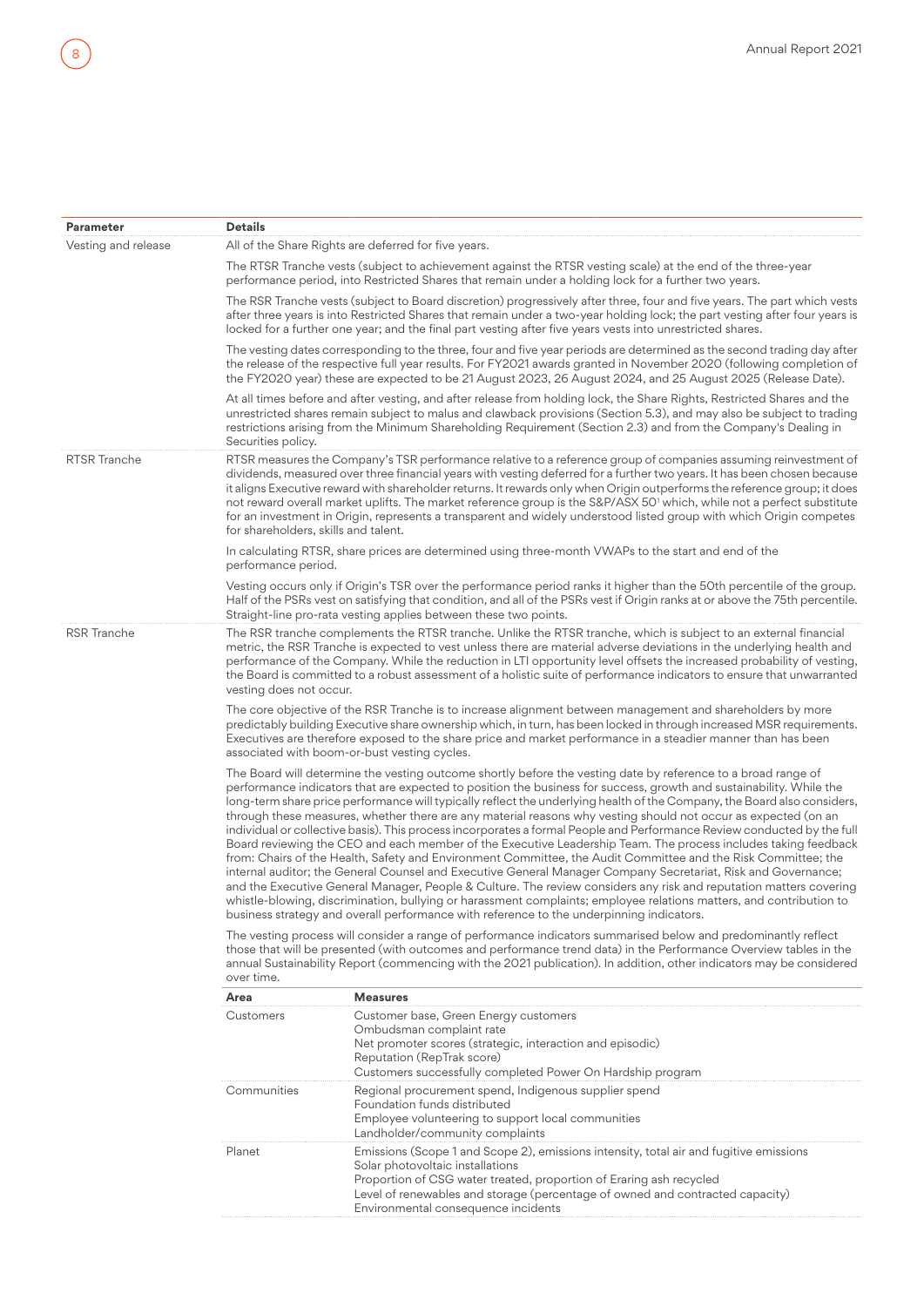| Parameter           | <b>Details</b>                                                                                                                                                                                                                                                                                                                                                                                                                                                                                                                                                                                                                                                                                                                                                                                                                                                                                                                                                                                                                                                                                                                                                                                                                                                                                             |                                                                                                                                                                                                                                                                                                                                                                                                                                                                                                                                                                                                                                       |  |  |  |  |
|---------------------|------------------------------------------------------------------------------------------------------------------------------------------------------------------------------------------------------------------------------------------------------------------------------------------------------------------------------------------------------------------------------------------------------------------------------------------------------------------------------------------------------------------------------------------------------------------------------------------------------------------------------------------------------------------------------------------------------------------------------------------------------------------------------------------------------------------------------------------------------------------------------------------------------------------------------------------------------------------------------------------------------------------------------------------------------------------------------------------------------------------------------------------------------------------------------------------------------------------------------------------------------------------------------------------------------------|---------------------------------------------------------------------------------------------------------------------------------------------------------------------------------------------------------------------------------------------------------------------------------------------------------------------------------------------------------------------------------------------------------------------------------------------------------------------------------------------------------------------------------------------------------------------------------------------------------------------------------------|--|--|--|--|
| Vesting and release |                                                                                                                                                                                                                                                                                                                                                                                                                                                                                                                                                                                                                                                                                                                                                                                                                                                                                                                                                                                                                                                                                                                                                                                                                                                                                                            | All of the Share Rights are deferred for five years.                                                                                                                                                                                                                                                                                                                                                                                                                                                                                                                                                                                  |  |  |  |  |
|                     |                                                                                                                                                                                                                                                                                                                                                                                                                                                                                                                                                                                                                                                                                                                                                                                                                                                                                                                                                                                                                                                                                                                                                                                                                                                                                                            | The RTSR Tranche vests (subject to achievement against the RTSR vesting scale) at the end of the three-year<br>performance period, into Restricted Shares that remain under a holding lock for a further two years.                                                                                                                                                                                                                                                                                                                                                                                                                   |  |  |  |  |
|                     |                                                                                                                                                                                                                                                                                                                                                                                                                                                                                                                                                                                                                                                                                                                                                                                                                                                                                                                                                                                                                                                                                                                                                                                                                                                                                                            | The RSR Tranche vests (subject to Board discretion) progressively after three, four and five years. The part which vests<br>after three years is into Restricted Shares that remain under a two-year holding lock; the part vesting after four years is<br>locked for a further one year; and the final part vesting after five years vests into unrestricted shares.                                                                                                                                                                                                                                                                 |  |  |  |  |
|                     |                                                                                                                                                                                                                                                                                                                                                                                                                                                                                                                                                                                                                                                                                                                                                                                                                                                                                                                                                                                                                                                                                                                                                                                                                                                                                                            | The vesting dates corresponding to the three, four and five year periods are determined as the second trading day after<br>the release of the respective full year results. For FY2021 awards granted in November 2020 (following completion of<br>the FY2020 year) these are expected to be 21 August 2023, 26 August 2024, and 25 August 2025 (Release Date).                                                                                                                                                                                                                                                                       |  |  |  |  |
|                     | Securities policy.                                                                                                                                                                                                                                                                                                                                                                                                                                                                                                                                                                                                                                                                                                                                                                                                                                                                                                                                                                                                                                                                                                                                                                                                                                                                                         | At all times before and after vesting, and after release from holding lock, the Share Rights, Restricted Shares and the<br>unrestricted shares remain subject to malus and clawback provisions (Section 5.3), and may also be subject to trading<br>restrictions arising from the Minimum Shareholding Requirement (Section 2.3) and from the Company's Dealing in                                                                                                                                                                                                                                                                    |  |  |  |  |
| RTSR Tranche        | for shareholders, skills and talent.                                                                                                                                                                                                                                                                                                                                                                                                                                                                                                                                                                                                                                                                                                                                                                                                                                                                                                                                                                                                                                                                                                                                                                                                                                                                       | RTSR measures the Company's TSR performance relative to a reference group of companies assuming reinvestment of<br>dividends, measured over three financial years with vesting deferred for a further two years. It has been chosen because<br>it aligns Executive reward with shareholder returns. It rewards only when Origin outperforms the reference group; it does<br>not reward overall market uplifts. The market reference group is the S&P/ASX 50 <sup>1</sup> which, while not a perfect substitute<br>for an investment in Origin, represents a transparent and widely understood listed group with which Origin competes |  |  |  |  |
|                     | In calculating RTSR, share prices are determined using three-month VWAPs to the start and end of the<br>performance period.                                                                                                                                                                                                                                                                                                                                                                                                                                                                                                                                                                                                                                                                                                                                                                                                                                                                                                                                                                                                                                                                                                                                                                                |                                                                                                                                                                                                                                                                                                                                                                                                                                                                                                                                                                                                                                       |  |  |  |  |
|                     | Vesting occurs only if Origin's TSR over the performance period ranks it higher than the 50th percentile of the group.<br>Half of the PSRs vest on satisfying that condition, and all of the PSRs vest if Origin ranks at or above the 75th percentile.<br>Straight-line pro-rata vesting applies between these two points.                                                                                                                                                                                                                                                                                                                                                                                                                                                                                                                                                                                                                                                                                                                                                                                                                                                                                                                                                                                |                                                                                                                                                                                                                                                                                                                                                                                                                                                                                                                                                                                                                                       |  |  |  |  |
| <b>RSR</b> Tranche  | The RSR tranche complements the RTSR tranche. Unlike the RTSR tranche, which is subject to an external financial<br>metric, the RSR Tranche is expected to vest unless there are material adverse deviations in the underlying health and<br>performance of the Company. While the reduction in LTI opportunity level offsets the increased probability of vesting,<br>the Board is committed to a robust assessment of a holistic suite of performance indicators to ensure that unwarranted<br>vesting does not occur.                                                                                                                                                                                                                                                                                                                                                                                                                                                                                                                                                                                                                                                                                                                                                                                   |                                                                                                                                                                                                                                                                                                                                                                                                                                                                                                                                                                                                                                       |  |  |  |  |
|                     | associated with boom-or-bust vesting cycles.                                                                                                                                                                                                                                                                                                                                                                                                                                                                                                                                                                                                                                                                                                                                                                                                                                                                                                                                                                                                                                                                                                                                                                                                                                                               | The core objective of the RSR Tranche is to increase alignment between management and shareholders by more<br>predictably building Executive share ownership which, in turn, has been locked in through increased MSR requirements.<br>Executives are therefore exposed to the share price and market performance in a steadier manner than has been                                                                                                                                                                                                                                                                                  |  |  |  |  |
|                     | The Board will determine the vesting outcome shortly before the vesting date by reference to a broad range of<br>performance indicators that are expected to position the business for success, growth and sustainability. While the<br>long-term share price performance will typically reflect the underlying health of the Company, the Board also considers,<br>through these measures, whether there are any material reasons why vesting should not occur as expected (on an<br>individual or collective basis). This process incorporates a formal People and Performance Review conducted by the full<br>Board reviewing the CEO and each member of the Executive Leadership Team. The process includes taking feedback<br>from: Chairs of the Health, Safety and Environment Committee, the Audit Committee and the Risk Committee; the<br>internal auditor; the General Counsel and Executive General Manager Company Secretariat, Risk and Governance;<br>and the Executive General Manager, People & Culture. The review considers any risk and reputation matters covering<br>whistle-blowing, discrimination, bullying or harassment complaints; employee relations matters, and contribution to<br>business strategy and overall performance with reference to the underpinning indicators. |                                                                                                                                                                                                                                                                                                                                                                                                                                                                                                                                                                                                                                       |  |  |  |  |
|                     | over time.                                                                                                                                                                                                                                                                                                                                                                                                                                                                                                                                                                                                                                                                                                                                                                                                                                                                                                                                                                                                                                                                                                                                                                                                                                                                                                 | The vesting process will consider a range of performance indicators summarised below and predominantly reflect<br>those that will be presented (with outcomes and performance trend data) in the Performance Overview tables in the<br>annual Sustainability Report (commencing with the 2021 publication). In addition, other indicators may be considered                                                                                                                                                                                                                                                                           |  |  |  |  |
|                     | Area                                                                                                                                                                                                                                                                                                                                                                                                                                                                                                                                                                                                                                                                                                                                                                                                                                                                                                                                                                                                                                                                                                                                                                                                                                                                                                       | <b>Measures</b>                                                                                                                                                                                                                                                                                                                                                                                                                                                                                                                                                                                                                       |  |  |  |  |
|                     | Customers                                                                                                                                                                                                                                                                                                                                                                                                                                                                                                                                                                                                                                                                                                                                                                                                                                                                                                                                                                                                                                                                                                                                                                                                                                                                                                  | Customer base, Green Energy customers<br>Ombudsman complaint rate<br>Net promoter scores (strategic, interaction and episodic)<br>Reputation (RepTrak score)<br>Customers successfully completed Power On Hardship program                                                                                                                                                                                                                                                                                                                                                                                                            |  |  |  |  |
|                     | Communities                                                                                                                                                                                                                                                                                                                                                                                                                                                                                                                                                                                                                                                                                                                                                                                                                                                                                                                                                                                                                                                                                                                                                                                                                                                                                                | Regional procurement spend, Indigenous supplier spend<br>Foundation funds distributed<br>Employee volunteering to support local communities<br>Landholder/community complaints                                                                                                                                                                                                                                                                                                                                                                                                                                                        |  |  |  |  |
|                     | Planet                                                                                                                                                                                                                                                                                                                                                                                                                                                                                                                                                                                                                                                                                                                                                                                                                                                                                                                                                                                                                                                                                                                                                                                                                                                                                                     | Emissions (Scope 1 and Scope 2), emissions intensity, total air and fugitive emissions<br>Solar photovoltaic installations<br>Proportion of CSG water treated, proportion of Eraring ash recycled<br>Level of renewables and storage (percentage of owned and contracted capacity)<br>Environmental consequence incidents                                                                                                                                                                                                                                                                                                             |  |  |  |  |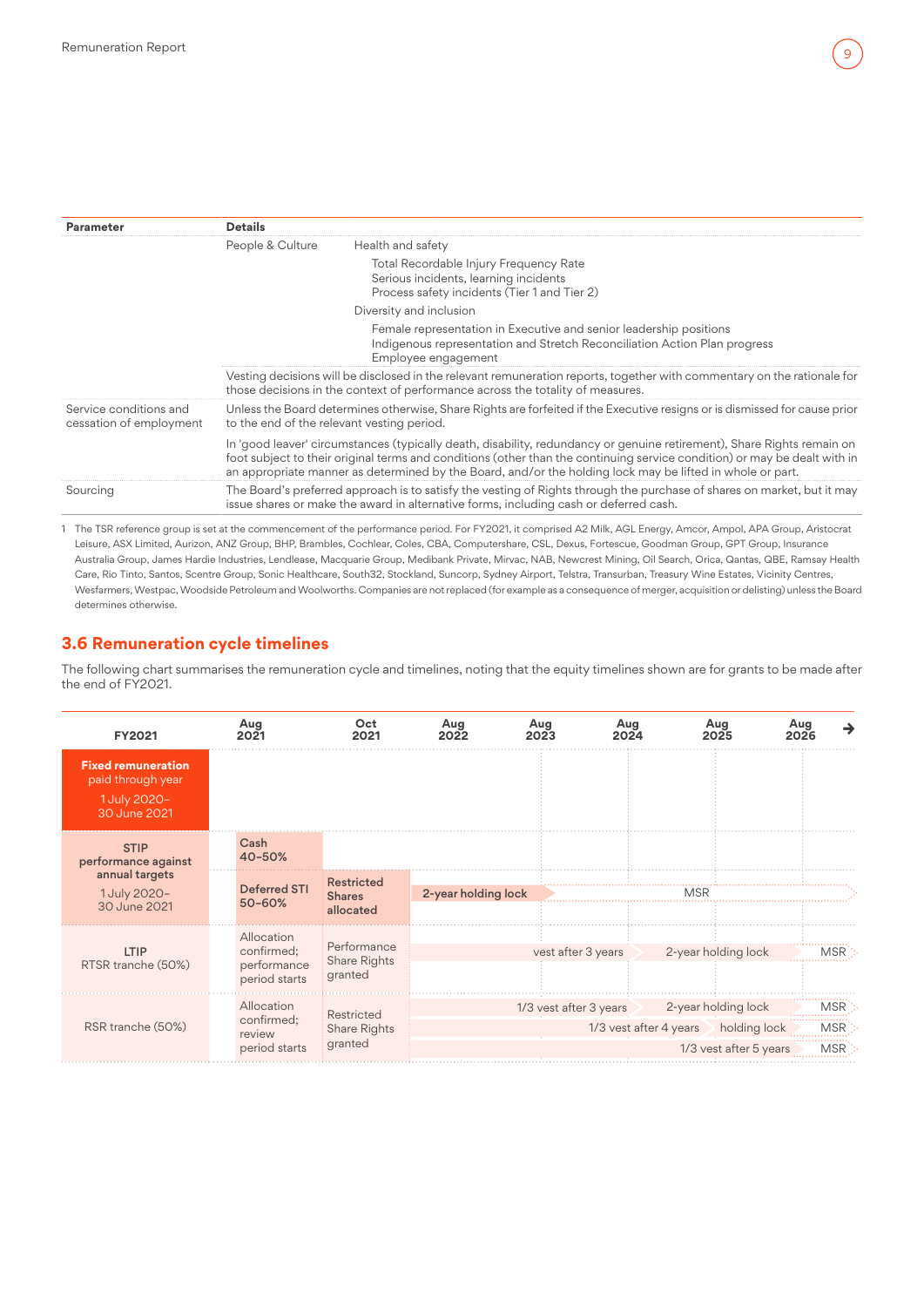<span id="page-8-0"></span>

| Parameter                                         | <b>Details</b>   |                                                                                                                                                                                                                                                                                                                                                                  |
|---------------------------------------------------|------------------|------------------------------------------------------------------------------------------------------------------------------------------------------------------------------------------------------------------------------------------------------------------------------------------------------------------------------------------------------------------|
|                                                   | People & Culture | Health and safety                                                                                                                                                                                                                                                                                                                                                |
|                                                   |                  | Total Recordable Injury Frequency Rate<br>Serious incidents, learning incidents<br>Process safety incidents (Tier 1 and Tier 2)                                                                                                                                                                                                                                  |
|                                                   |                  | Diversity and inclusion                                                                                                                                                                                                                                                                                                                                          |
|                                                   |                  | Female representation in Executive and senior leadership positions<br>Indigenous representation and Stretch Reconciliation Action Plan progress<br>Employee engagement                                                                                                                                                                                           |
|                                                   |                  | Vesting decisions will be disclosed in the relevant remuneration reports, together with commentary on the rationale for<br>those decisions in the context of performance across the totality of measures.                                                                                                                                                        |
| Service conditions and<br>cessation of employment |                  | Unless the Board determines otherwise, Share Rights are forfeited if the Executive resigns or is dismissed for cause prior<br>to the end of the relevant vesting period.                                                                                                                                                                                         |
|                                                   |                  | In 'good leaver' circumstances (typically death, disability, redundancy or genuine retirement), Share Rights remain on<br>foot subject to their original terms and conditions (other than the continuing service condition) or may be dealt with in<br>an appropriate manner as determined by the Board, and/or the holding lock may be lifted in whole or part. |
| Sourcing                                          |                  | The Board's preferred approach is to satisfy the vesting of Rights through the purchase of shares on market, but it may<br>issue shares or make the award in alternative forms, including cash or deferred cash.                                                                                                                                                 |

1 The TSR reference group is set at the commencement of the performance period. For FY2021, it comprised A2 Milk, AGL Energy, Amcor, Ampol, APA Group, Aristocrat Leisure, ASX Limited, Aurizon, ANZ Group, BHP, Brambles, Cochlear, Coles, CBA, Computershare, CSL, Dexus, Fortescue, Goodman Group, GPT Group, Insurance Australia Group, James Hardie Industries, Lendlease, Macquarie Group, Medibank Private, Mirvac, NAB, Newcrest Mining, Oil Search, Orica, Qantas, QBE, Ramsay Health Care, Rio Tinto, Santos, Scentre Group, Sonic Healthcare, South32, Stockland, Suncorp, Sydney Airport, Telstra, Transurban, Treasury Wine Estates, Vicinity Centres, Wesfarmers,Westpac,Woodside Petroleum andWoolworths. Companies are notreplaced (for example as a consequence of merger, acquisition or delisting) unless the Board determines otherwise.

## **3.6 Remuneration cycle timelines**

The following chart summarises the remuneration cycle and timelines, noting that the equity timelines shown are for grants to be made after the end of FY2021.

| <b>FY2021</b>                                                                  | Aug<br>2021                                              | Oct<br>2021                                     | Aug<br>2022         | Aug<br>2023            | Aug<br>2024 | Aug<br>2025                                                                                        | Aug<br>→<br>2026                |
|--------------------------------------------------------------------------------|----------------------------------------------------------|-------------------------------------------------|---------------------|------------------------|-------------|----------------------------------------------------------------------------------------------------|---------------------------------|
| <b>Fixed remuneration</b><br>paid through year<br>1 July 2020-<br>30 June 2021 |                                                          |                                                 |                     |                        |             |                                                                                                    |                                 |
| <b>STIP</b><br>performance against                                             | Cash<br>40-50%                                           |                                                 |                     |                        |             |                                                                                                    |                                 |
| annual targets<br>1 July 2020-<br>30 June 2021                                 | <b>Deferred STI</b><br>50-60%                            | <b>Restricted</b><br><b>Shares</b><br>allocated | 2-year holding lock |                        |             | MSR                                                                                                |                                 |
| <b>LTIP</b><br>RTSR tranche (50%)                                              | Allocation<br>confirmed;<br>performance<br>period starts | Performance<br>Share Rights<br>granted          |                     | vest after 3 years     |             | 2-year holding lock                                                                                | <b>MSR</b>                      |
| RSR tranche (50%)                                                              | Allocation<br>confirmed;<br>review<br>period starts      | Restricted<br>Share Rights<br>granted           |                     | 1/3 vest after 3 years |             | 2-year holding lock<br>1/3 vest after 4 years $\rightarrow$ holding lock<br>1/3 vest after 5 years | <b>MSR</b><br><b>MSR</b><br>MSR |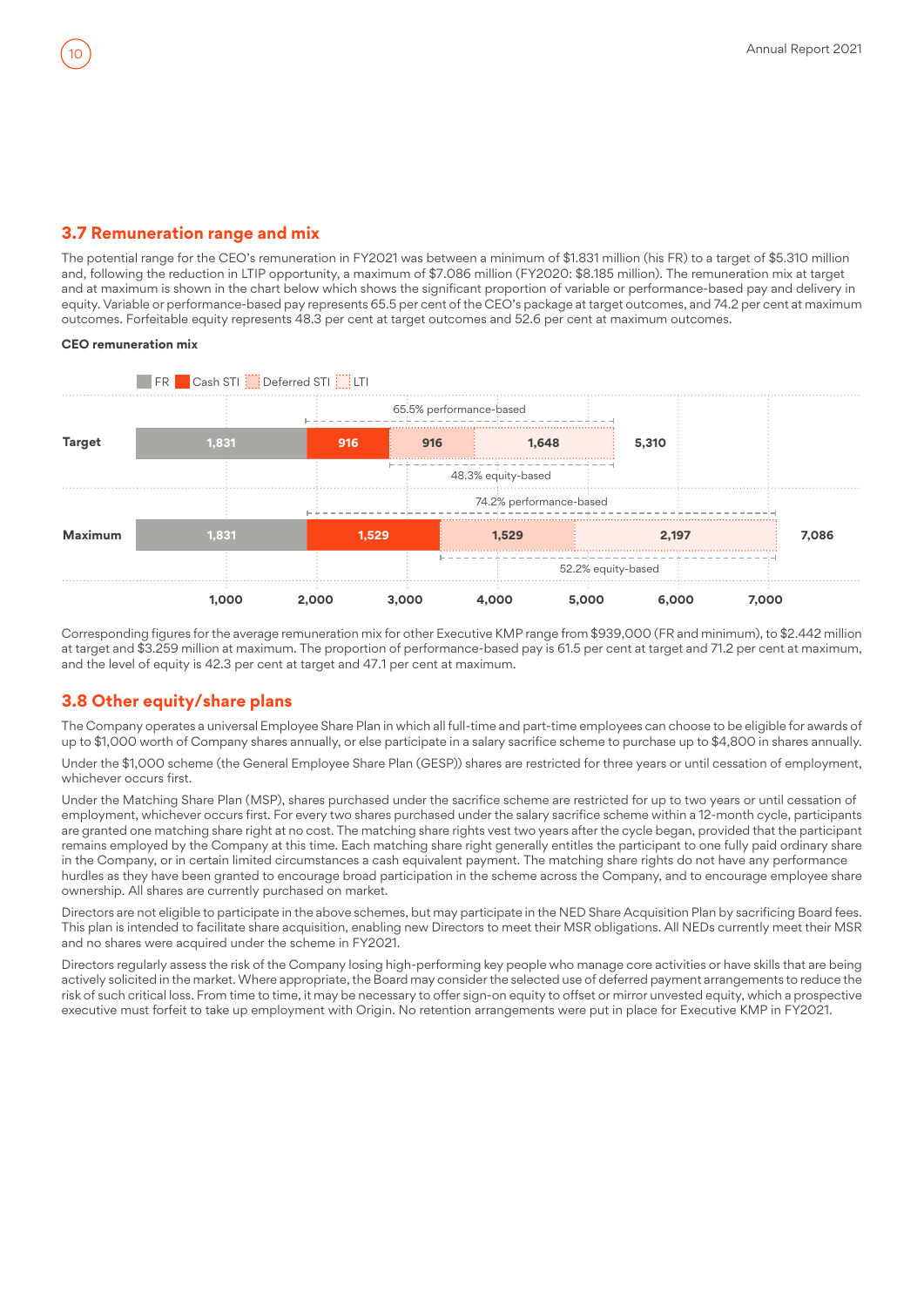## <span id="page-9-0"></span>**3.7 Remuneration range and mix**

The potential range for the CEO's remuneration in FY2021 was between a minimum of \$1.831 million (his FR) to a target of \$5.310 million and, following the reduction in LTIP opportunity, a maximum of \$7.086 million (FY2020: \$8.185 million). The remuneration mix at target and at maximum is shown in the chart below which shows the significant proportion of variable or performance-based pay and delivery in equity. Variable or performance-based pay represents 65.5 per cent of the CEO's package at target outcomes, and 74.2 per cent at maximum outcomes. Forfeitable equity represents 48.3 per cent at target outcomes and 52.6 per cent at maximum outcomes.

#### **CEO remuneration mix**



Corresponding figures for the average remuneration mix for other Executive KMP range from \$939,000 (FR and minimum), to \$2.442 million at target and \$3.259 million at maximum. The proportion of performance-based pay is 61.5 per cent at target and 71.2 per cent at maximum, and the level of equity is 42.3 per cent at target and 47.1 per cent at maximum.

## **3.8 Other equity/share plans**

The Company operates a universal Employee Share Plan in which all full-time and part-time employees can choose to be eligible for awards of up to \$1,000 worth of Company shares annually, or else participate in a salary sacrifice scheme to purchase up to \$4,800 in shares annually.

Under the \$1,000 scheme (the General Employee Share Plan (GESP)) shares are restricted for three years or until cessation of employment, whichever occurs first.

Under the Matching Share Plan (MSP), shares purchased under the sacrifice scheme are restricted for up to two years or until cessation of employment, whichever occurs first. For every two shares purchased under the salary sacrifice scheme within a 12-month cycle, participants are granted one matching share right at no cost. The matching share rights vest two years after the cycle began, provided that the participant remains employed by the Company at this time. Each matching share right generally entitles the participant to one fully paid ordinary share in the Company, or in certain limited circumstances a cash equivalent payment. The matching share rights do not have any performance hurdles as they have been granted to encourage broad participation in the scheme across the Company, and to encourage employee share ownership. All shares are currently purchased on market.

Directors are not eligible to participate in the above schemes, but may participate in the NED Share Acquisition Plan by sacrificing Board fees. This plan is intended to facilitate share acquisition, enabling new Directors to meet their MSR obligations. All NEDs currently meet their MSR and no shares were acquired under the scheme in FY2021.

Directors regularly assess the risk of the Company losing high-performing key people who manage core activities or have skills that are being actively solicited in the market. Where appropriate, the Board may consider the selected use of deferred payment arrangements to reduce the risk of such critical loss. From time to time, it may be necessary to offer sign-on equity to offset or mirror unvested equity, which a prospective executive must forfeit to take up employment with Origin. No retention arrangements were put in place for Executive KMP in FY2021.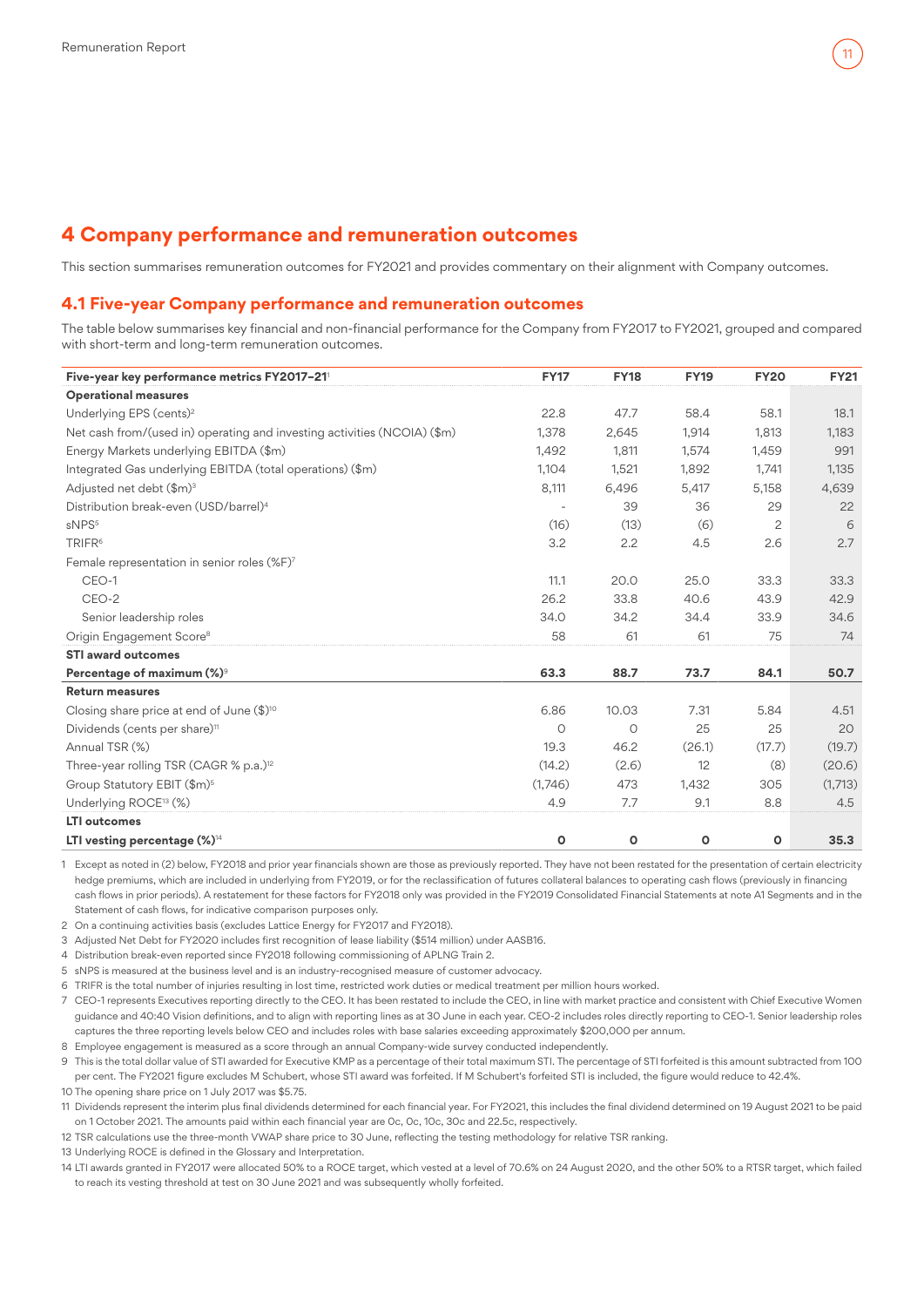## <span id="page-10-0"></span>**4 Company performance and remuneration outcomes**

This section summarises remuneration outcomes for FY2021 and provides commentary on their alignment with Company outcomes.

#### **4.1 Five-year Company performance and remuneration outcomes**

The table below summarises key financial and non-financial performance for the Company from FY2017 to FY2021, grouped and compared with short-term and long-term remuneration outcomes.

| Five-year key performance metrics FY2017-21                              | <b>FY17</b> | <b>FY18</b>  | <b>FY19</b> | <b>FY20</b>    | <b>FY21</b> |
|--------------------------------------------------------------------------|-------------|--------------|-------------|----------------|-------------|
| <b>Operational measures</b>                                              |             |              |             |                |             |
| Underlying EPS (cents) <sup>2</sup>                                      | 22.8        | 47.7         | 58.4        | 58.1           | 18.1        |
| Net cash from/(used in) operating and investing activities (NCOIA) (\$m) | 1,378       | 2,645        | 1,914       | 1.813          | 1,183       |
| Energy Markets underlying EBITDA (\$m)                                   | 1,492       | 1,811        | 1,574       | 1,459          | 991         |
| Integrated Gas underlying EBITDA (total operations) (\$m)                | 1,104       | 1,521        | 1,892       | 1,741          | 1,135       |
| Adjusted net debt (\$m) <sup>3</sup>                                     | 8,111       | 6,496        | 5,417       | 5,158          | 4,639       |
| Distribution break-even (USD/barrel) <sup>4</sup>                        |             | 39           | 36          | 29             | 22          |
| sNPS <sup>5</sup>                                                        | (16)        | (13)         | (6)         | $\overline{c}$ | 6           |
| TRIFR <sup>6</sup>                                                       | 3.2         | 2.2          | 4.5         | 2.6            | 2.7         |
| Female representation in senior roles (%F)7                              |             |              |             |                |             |
| CEO-1                                                                    | 11.1        | 20.0         | 25.0        | 33.3           | 33.3        |
| CEO-2                                                                    | 26.2        | 33.8         | 40.6        | 43.9           | 42.9        |
| Senior leadership roles                                                  | 34.0        | 34.2         | 34.4        | 33.9           | 34.6        |
| Origin Engagement Score <sup>8</sup>                                     | 58          | 61           | 61          | 75             | 74          |
| <b>STI award outcomes</b>                                                |             |              |             |                |             |
| Percentage of maximum (%)9                                               | 63.3        | 88.7         | 73.7        | 84.1           | 50.7        |
| <b>Return measures</b>                                                   |             |              |             |                |             |
| Closing share price at end of June $(\$)^{10}$                           | 6.86        | 10.03        | 7.31        | 5.84           | 4.51        |
| Dividends (cents per share) <sup>11</sup>                                | $\circ$     | $\circ$      | 25          | 25             | 20          |
| Annual TSR (%)                                                           | 19.3        | 46.2         | (26.1)      | (17.7)         | (19.7)      |
| Three-year rolling TSR (CAGR % p.a.) <sup>12</sup>                       | (14.2)      | (2.6)        | 12          | (8)            | (20.6)      |
| Group Statutory EBIT (\$m) <sup>5</sup>                                  | (1,746)     | 473          | 1,432       | 305            | (1,713)     |
| Underlying ROCE <sup>13</sup> (%)                                        | 4.9         | 7.7          | 9.1         | 8.8            | 4.5         |
| <b>LTI</b> outcomes                                                      |             |              |             |                |             |
| LTI vesting percentage $(\%)^{\scriptscriptstyle 14}$                    | $\circ$     | $\mathbf{o}$ | O           | $\circ$        | 35.3        |

1 Except as noted in (2) below, FY2018 and prior year financials shown are those as previously reported. They have not been restated for the presentation of certain electricity hedge premiums, which are included in underlying from FY2019, or for the reclassification of futures collateral balances to operating cash flows (previously in financing cash flows in prior periods). A restatement for these factors for FY2018 only was provided in the FY2019 Consolidated Financial Statements at note A1 Segments and in the Statement of cash flows, for indicative comparison purposes only.

2 On a continuing activities basis (excludes Lattice Energy for FY2017 and FY2018).

3 Adjusted Net Debt for FY2020 includes first recognition of lease liability (\$514 million) under AASB16.

4 Distribution break-even reported since FY2018 following commissioning of APLNG Train 2.

5 sNPS is measured at the business level and is an industry-recognised measure of customer advocacy.

6 TRIFR is the total number of injuries resulting in lost time, restricted work duties or medical treatment per million hours worked.

7 CEO-1 represents Executives reporting directly to the CEO. It has been restated to include the CEO, in line with market practice and consistent with Chief Executive Women guidance and 40:40 Vision definitions, and to align with reporting lines as at 30 June in each year. CEO-2 includes roles directly reporting to CEO-1. Senior leadership roles captures the three reporting levels below CEO and includes roles with base salaries exceeding approximately \$200,000 per annum.

8 Employee engagement is measured as a score through an annual Company-wide survey conducted independently.

9 This is the total dollar value of STI awarded for Executive KMP as a percentage of their total maximum STI. The percentage of STI forfeited is this amount subtracted from 100 per cent. The FY2021 figure excludes M Schubert, whose STI award was forfeited. If M Schubert's forfeited STI is included, the figure would reduce to 42.4%.

10 The opening share price on 1 July 2017 was \$5.75.

11 Dividends represent the interim plus final dividends determined for each financial year. For FY2021, this includes the final dividend determined on 19 August 2021 to be paid on 1 October 2021. The amounts paid within each financial year are 0c, 0c, 10c, 30c and 22.5c, respectively.

12 TSR calculations use the three-month VWAP share price to 30 June, reflecting the testing methodology for relative TSR ranking.

13 Underlying ROCE is defined in the Glossary and Interpretation.

14 LTI awards granted in FY2017 were allocated 50% to a ROCE target, which vested at a level of 70.6% on 24 August 2020, and the other 50% to a RTSR target, which failed to reach its vesting threshold at test on 30 June 2021 and was subsequently wholly forfeited.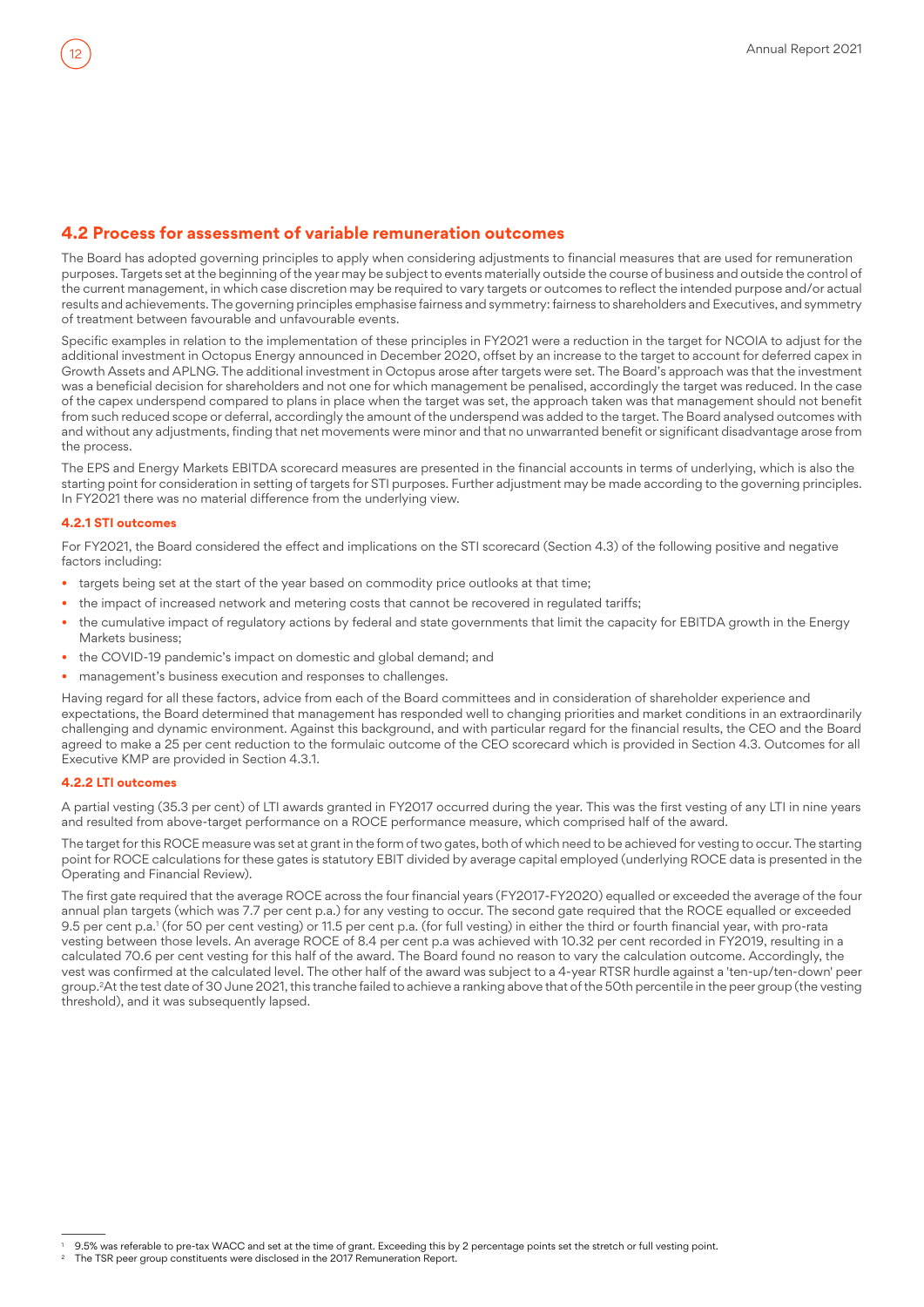## **4.2 Process for assessment of variable remuneration outcomes**

The Board has adopted governing principles to apply when considering adjustments to financial measures that are used for remuneration purposes. Targets set at the beginning of the year may be subject to events materially outside the course of business and outside the control of the current management, in which case discretion may be required to vary targets or outcomes to reflect the intended purpose and/or actual results and achievements. The governing principles emphasise fairness and symmetry: fairness to shareholders and Executives, and symmetry of treatment between favourable and unfavourable events.

Specific examples in relation to the implementation of these principles in FY2021 were a reduction in the target for NCOIA to adjust for the additional investment in Octopus Energy announced in December 2020, offset by an increase to the target to account for deferred capex in Growth Assets and APLNG. The additional investment in Octopus arose after targets were set. The Board's approach was that the investment was a beneficial decision for shareholders and not one for which management be penalised, accordingly the target was reduced. In the case of the capex underspend compared to plans in place when the target was set, the approach taken was that management should not benefit from such reduced scope or deferral, accordingly the amount of the underspend was added to the target. The Board analysed outcomes with and without any adjustments, finding that net movements were minor and that no unwarranted benefit or significant disadvantage arose from the process.

The EPS and Energy Markets EBITDA scorecard measures are presented in the financial accounts in terms of underlying, which is also the starting point for consideration in setting of targets for STI purposes. Further adjustment may be made according to the governing principles. In FY2021 there was no material difference from the underlying view.

#### **4.2.1 STI outcomes**

For FY2021, the Board considered the effect and implications on the STI scorecard (Section 4.3) of the following positive and negative factors including:

- targets being set at the start of the year based on commodity price outlooks at that time;
- the impact of increased network and metering costs that cannot be recovered in regulated tariffs;
- the cumulative impact of regulatory actions by federal and state governments that limit the capacity for EBITDA growth in the Energy Markets business;
- the COVID-19 pandemic's impact on domestic and global demand; and
- management's business execution and responses to challenges.

Having regard for all these factors, advice from each of the Board committees and in consideration of shareholder experience and expectations, the Board determined that management has responded well to changing priorities and market conditions in an extraordinarily challenging and dynamic environment. Against this background, and with particular regard for the financial results, the CEO and the Board agreed to make a 25 per cent reduction to the formulaic outcome of the CEO scorecard which is provided in Section 4.3. Outcomes for all Executive KMP are provided in Section 4.3.1.

#### **4.2.2 LTI outcomes**

A partial vesting (35.3 per cent) of LTI awards granted in FY2017 occurred during the year. This was the first vesting of any LTI in nine years and resulted from above-target performance on a ROCE performance measure, which comprised half of the award.

The target for this ROCE measure was set at grant in the form of two gates, both of which need to be achieved for vesting to occur. The starting point for ROCE calculations for these gates is statutory EBIT divided by average capital employed (underlying ROCE data is presented in the Operating and Financial Review).

The first gate required that the average ROCE across the four financial years (FY2017-FY2020) equalled or exceeded the average of the four annual plan targets (which was 7.7 per cent p.a.) for any vesting to occur. The second gate required that the ROCE equalled or exceeded 9.5 per cent p.a.' (for 50 per cent vesting) or 11.5 per cent p.a. (for full vesting) in either the third or fourth financial year, with pro-rata vesting between those levels. An average ROCE of 8.4 per cent p.a was achieved with 10.32 per cent recorded in FY2019, resulting in a calculated 70.6 per cent vesting for this half of the award. The Board found no reason to vary the calculation outcome. Accordingly, the vest was confirmed at the calculated level. The other half of the award was subject to a 4-year RTSR hurdle against a 'ten-up/ten-down' peer group.<sup>2</sup>At the test date of 30 June 2021, this tranche failed to achieve a ranking above that of the 50th percentile in the peer group (the vesting threshold), and it was subsequently lapsed.

<sup>1</sup> 9.5% was referable to pre-tax WACC and set at the time of grant. Exceeding this by 2 percentage points set the stretch or full vesting point.

The TSR peer group constituents were disclosed in the 2017 Remuneration Report.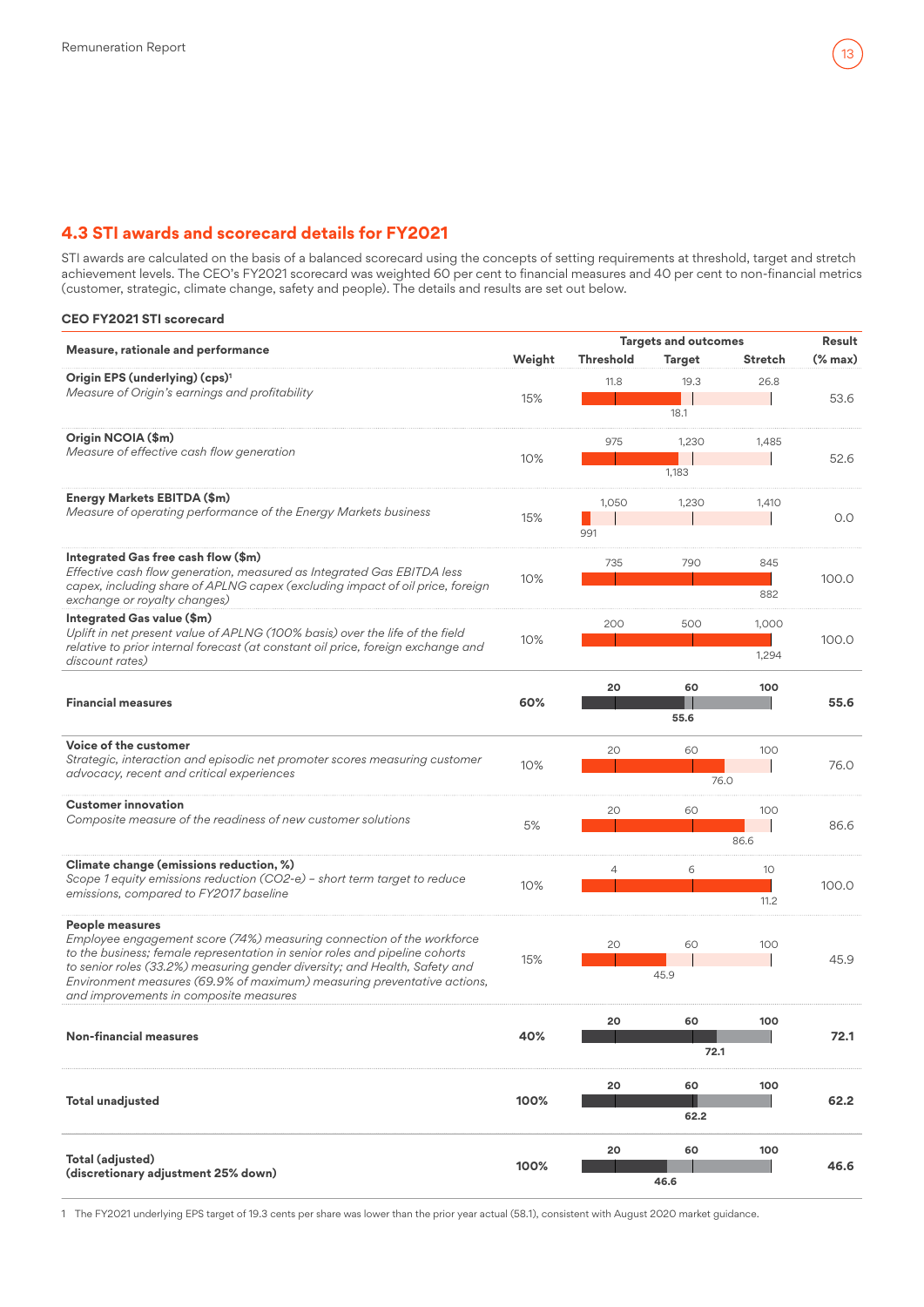## **4.3 STI awards and scorecard details for FY2021**

STI awards are calculated on the basis of a balanced scorecard using the concepts of setting requirements at threshold, target and stretch achievement levels. The CEO's FY2021 scorecard was weighted 60 per cent to financial measures and 40 per cent to non-financial metrics (customer, strategic, climate change, safety and people). The details and results are set out below.

#### **CEO FY2021 STI scorecard**

|                                                                                                                                                                                                                                                                                                                                                                            |        | <b>Targets and outcomes</b> |                | Result         |             |
|----------------------------------------------------------------------------------------------------------------------------------------------------------------------------------------------------------------------------------------------------------------------------------------------------------------------------------------------------------------------------|--------|-----------------------------|----------------|----------------|-------------|
| Measure, rationale and performance                                                                                                                                                                                                                                                                                                                                         | Weight | Threshold                   | <b>Target</b>  | <b>Stretch</b> | $%$ max $)$ |
| Origin EPS (underlying) (cps) <sup>1</sup><br>Measure of Origin's earnings and profitability                                                                                                                                                                                                                                                                               | 15%    | 11.8                        | 19.3<br>18.1   | 26.8           | 53.6        |
| Origin NCOIA (\$m)<br>Measure of effective cash flow generation                                                                                                                                                                                                                                                                                                            | 10%    | 975                         | 1,230<br>1,183 | 1,485          | 52.6        |
| Energy Markets EBITDA (\$m)<br>Measure of operating performance of the Energy Markets business                                                                                                                                                                                                                                                                             | 15%    | 1,050<br>991                | 1,230          | 1,410          | 0.0         |
| Integrated Gas free cash flow (\$m)<br>Effective cash flow generation, measured as Integrated Gas EBITDA less<br>capex, including share of APLNG capex (excluding impact of oil price, foreign<br>exchange or royalty changes)                                                                                                                                             | 10%    | 735                         | 790            | 845<br>882     | 100.0       |
| Integrated Gas value (\$m)<br>Uplift in net present value of APLNG (100% basis) over the life of the field<br>relative to prior internal forecast (at constant oil price, foreign exchange and<br>discount rates)                                                                                                                                                          | 10%    | 200                         | 500            | 1,000<br>1,294 | 100.0       |
| <b>Financial measures</b>                                                                                                                                                                                                                                                                                                                                                  | 60%    | 20                          | 60<br>55.6     | 100            | 55.6        |
| Voice of the customer<br>Strategic, interaction and episodic net promoter scores measuring customer<br>advocacy, recent and critical experiences                                                                                                                                                                                                                           | 10%    | 20                          | 60<br>76.0     | 100            | 76.0        |
| <b>Customer innovation</b><br>Composite measure of the readiness of new customer solutions                                                                                                                                                                                                                                                                                 | 5%     | 20                          | 60             | 100<br>86.6    | 86.6        |
| Climate change (emissions reduction, %)<br>Scope 1 equity emissions reduction (CO2-e) - short term target to reduce<br>emissions, compared to FY2017 baseline                                                                                                                                                                                                              | 10%    | 4                           | 6              | 10<br>11.2     | 100.0       |
| People measures<br>Employee engagement score (74%) measuring connection of the workforce<br>to the business; female representation in senior roles and pipeline cohorts<br>to senior roles (33.2%) measuring gender diversity; and Health, Safety and<br>Environment measures (69.9% of maximum) measuring preventative actions,<br>and improvements in composite measures | 15%    | 20                          | 60<br>45.9     | 100            | 45.9        |
| <b>Non-financial measures</b>                                                                                                                                                                                                                                                                                                                                              | 40%    | 20                          | 60<br>72.1     | 100            | 72.1        |
| <b>Total unadjusted</b>                                                                                                                                                                                                                                                                                                                                                    | 100%   | 20                          | 60<br>62.2     | 100            | 62.2        |
| Total (adjusted)<br>(discretionary adjustment 25% down)                                                                                                                                                                                                                                                                                                                    | 100%   | 20                          | 60<br>46.6     | 100            | 46.6        |

1 The FY2021 underlying EPS target of 19.3 cents per share was lower than the prior year actual (58.1), consistent with August 2020 market guidance.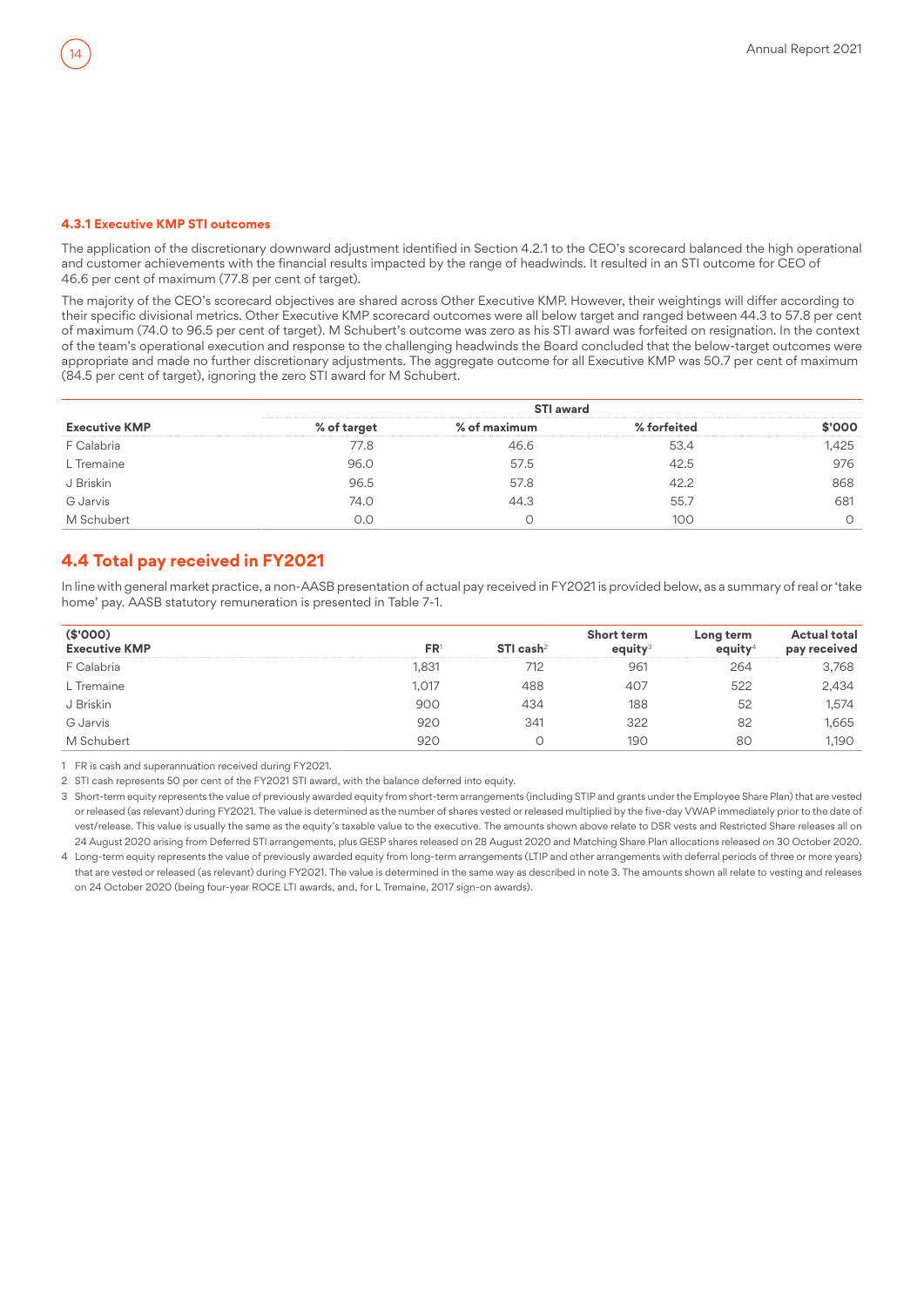#### **4.3.1 Executive KMP STI outcomes**

The application of the discretionary downward adjustment identified in Section 4.2.1 to the CEO's scorecard balanced the high operational and customer achievements with the financial results impacted by the range of headwinds. It resulted in an STI outcome for CEO of 46.6 per cent of maximum (77.8 per cent of target).

The majority of the CEO's scorecard objectives are shared across Other Executive KMP. However, their weightings will differ according to their specific divisional metrics. Other Executive KMP scorecard outcomes were all below target and ranged between 44.3 to 57.8 per cent of maximum (74.0 to 96.5 per cent of target). M Schubert's outcome was zero as his STI award was forfeited on resignation. In the context of the team's operational execution and response to the challenging headwinds the Board concluded that the below-target outcomes were appropriate and made no further discretionary adjustments. The aggregate outcome for all Executive KMP was 50.7 per cent of maximum (84.5 per cent of target), ignoring the zero STI award for M Schubert.

| <b>Executive KMP</b>  |       |      |      |     |  |  |  |  |
|-----------------------|-------|------|------|-----|--|--|--|--|
| <sup>:</sup> Calabria | 1/0.8 |      | 534  | 425 |  |  |  |  |
| L Tremaine            | 96.0  | 57.5 | 42.5 |     |  |  |  |  |
| J Briskin             | 96.5  | 57.8 |      | າດຂ |  |  |  |  |
| G Jarvis              | 74.O  |      | 55.  |     |  |  |  |  |
|                       |       |      |      |     |  |  |  |  |

## **4.4 Total pay received in FY2021**

In line with general market practice, a non-AASB presentation of actual pay received in FY2021 is provided below, as a summary of real or 'take home' pay. AASB statutory remuneration is presented in Table 7-1.

| (\$'000)<br><b>Executive KMP</b> | FR <sup>®</sup> | STI cash $2$ | <b>Short term</b> | Long term | <b>Actual total</b><br>pay received |
|----------------------------------|-----------------|--------------|-------------------|-----------|-------------------------------------|
| F Calabria                       | 1,831           | 712          | 961               | 264       | 3.768                               |
| L Tremaine                       | 1.017           | 488          | 407               | 522       | 2.434                               |
| J Briskin                        | 900             | 434          | 188               | 52        | 1.574                               |
| G Jarvis                         | 920             | 341          | 322               | 82        | .665                                |
| M Schubert                       | 920             |              | 190               | 80        | .190                                |

1 FR is cash and superannuation received during FY2021.

2 STI cash represents 50 per cent of the FY2021 STI award, with the balance deferred into equity.

3 Short-term equity represents the value of previously awarded equity from short-term arrangements (including STIP and grants under the Employee Share Plan) that are vested or released (as relevant) during FY2021. The value is determined as the number of shares vested or released multiplied by the five-day VWAP immediately prior to the date of vest/release. This value is usually the same as the equity's taxable value to the executive. The amounts shown above relate to DSR vests and Restricted Share releases all on 24 August 2020 arising from Deferred STI arrangements, plus GESP shares released on 28 August 2020 and Matching Share Plan allocations released on 30 October 2020.

4 Long-term equity represents the value of previously awarded equity from long-term arrangements (LTIP and other arrangements with deferral periods of three or more years) that are vested or released (as relevant) during FY2021. The value is determined in the same way as described in note 3. The amounts shown all relate to vesting and releases on 24 October 2020 (being four-year ROCE LTI awards, and, for L Tremaine, 2017 sign-on awards).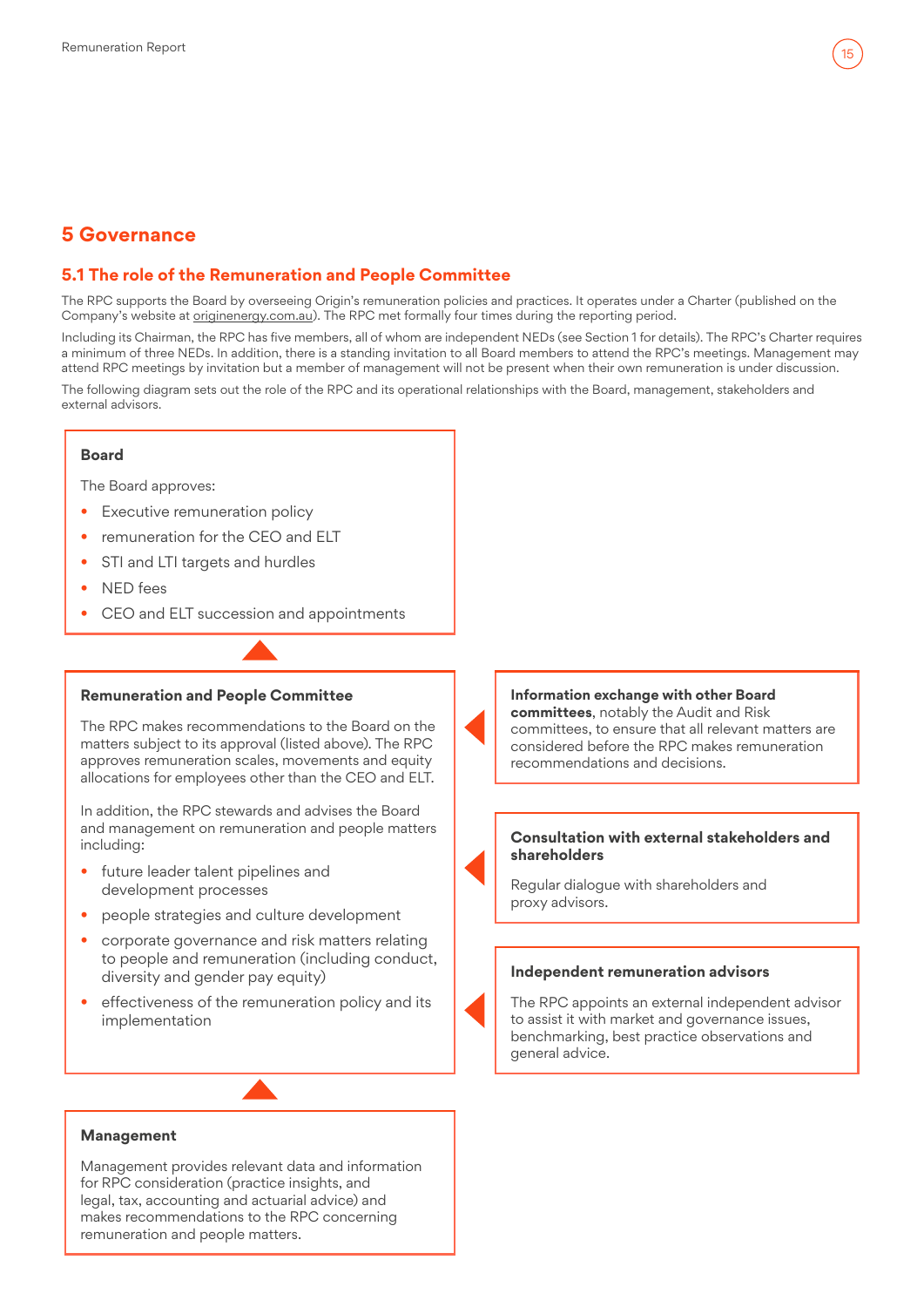

## <span id="page-14-0"></span>**5 Governance**

## **5.1 The role of the Remuneration and People Committee**

The RPC supports the Board by overseeing Origin's remuneration policies and practices. It operates under a Charter (published on the Company's website at [originenergy.com.au\)](https://www.originenergy.com.au). The RPC met formally four times during the reporting period.

Including its Chairman, the RPC has five members, all of whom are independent NEDs (see Section 1 for details). The RPC's Charter requires a minimum of three NEDs. In addition, there is a standing invitation to all Board members to attend the RPC's meetings. Management may attend RPC meetings by invitation but a member of management will not be present when their own remuneration is under discussion.

The following diagram sets out the role of the RPC and its operational relationships with the Board, management, stakeholders and external advisors.

#### **Board**

The Board approves:

- Executive remuneration policy
- remuneration for the CFO and FLT
- STI and LTI targets and hurdles
- NED fees
- CEO and ELT succession and appointments

## **Remuneration and People Committee**

The RPC makes recommendations to the Board on the matters subject to its approval (listed above). The RPC approves remuneration scales, movements and equity allocations for employees other than the CEO and ELT.

In addition, the RPC stewards and advises the Board and management on remuneration and people matters including:

- future leader talent pipelines and development processes
- people strategies and culture development
- corporate governance and risk matters relating to people and remuneration (including conduct, diversity and gender pay equity)
- effectiveness of the remuneration policy and its implementation

#### **Information exchange with other Board committees**, notably the Audit and Risk committees, to ensure that all relevant matters are considered before the RPC makes remuneration recommendations and decisions.

#### **Consultation with external stakeholders and shareholders**

Regular dialogue with shareholders and proxy advisors.

#### **Independent remuneration advisors**

The RPC appoints an external independent advisor to assist it with market and governance issues, benchmarking, best practice observations and general advice.

#### **Management**

Management provides relevant data and information for RPC consideration (practice insights, and legal, tax, accounting and actuarial advice) and makes recommendations to the RPC concerning remuneration and people matters.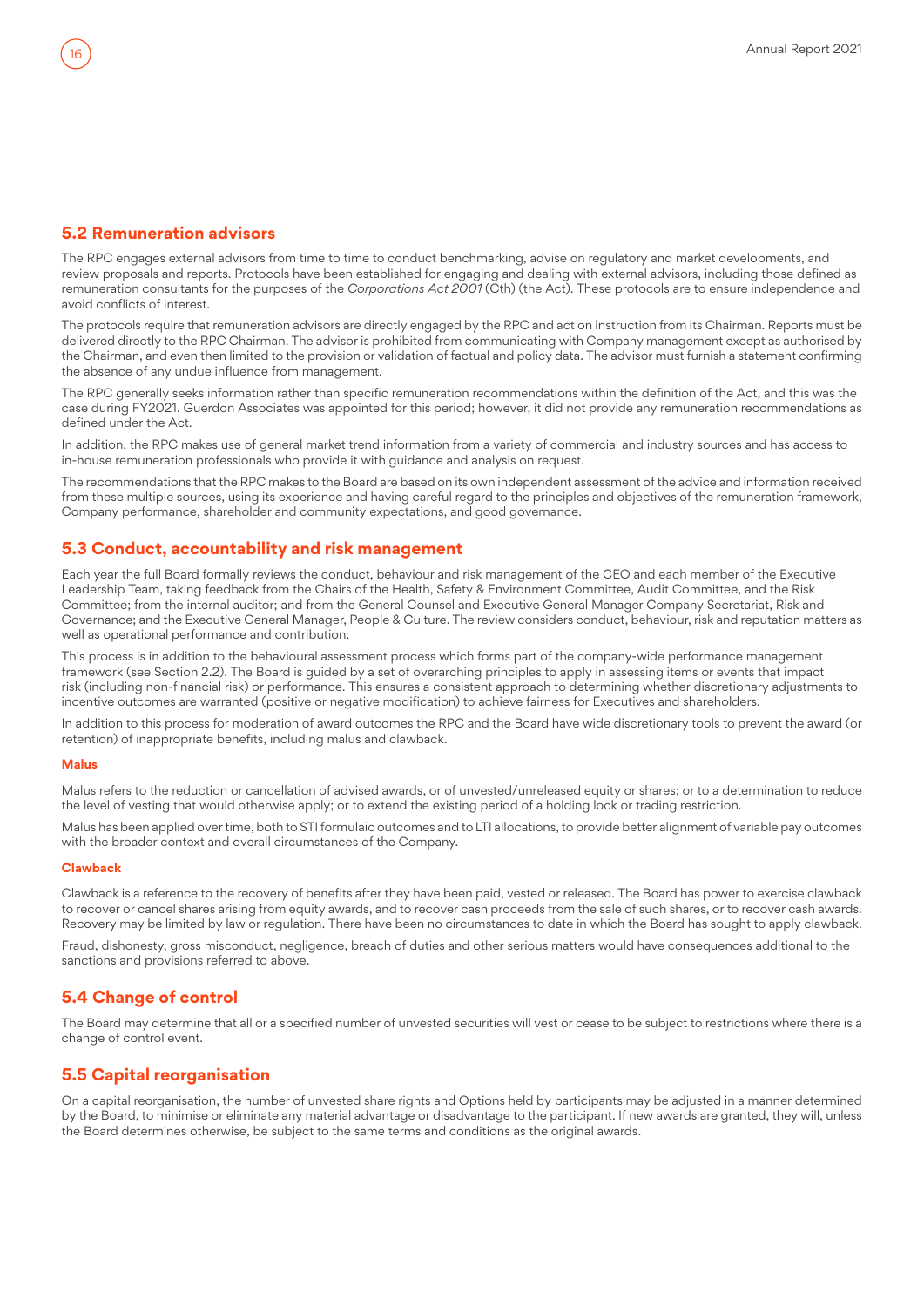## <span id="page-15-0"></span>**5.2 Remuneration advisors**

The RPC engages external advisors from time to time to conduct benchmarking, advise on regulatory and market developments, and review proposals and reports. Protocols have been established for engaging and dealing with external advisors, including those defined as remuneration consultants for the purposes of the *Corporations Act 2001* (Cth) (the Act). These protocols are to ensure independence and avoid conflicts of interest.

The protocols require that remuneration advisors are directly engaged by the RPC and act on instruction from its Chairman. Reports must be delivered directly to the RPC Chairman. The advisor is prohibited from communicating with Company management except as authorised by the Chairman, and even then limited to the provision or validation of factual and policy data. The advisor must furnish a statement confirming the absence of any undue influence from management.

The RPC generally seeks information rather than specific remuneration recommendations within the definition of the Act, and this was the case during FY2021. Guerdon Associates was appointed for this period; however, it did not provide any remuneration recommendations as defined under the Act.

In addition, the RPC makes use of general market trend information from a variety of commercial and industry sources and has access to in-house remuneration professionals who provide it with guidance and analysis on request.

The recommendations that the RPC makes to the Board are based on its own independent assessment of the advice and information received from these multiple sources, using its experience and having careful regard to the principles and objectives of the remuneration framework, Company performance, shareholder and community expectations, and good governance.

## **5.3 Conduct, accountability and risk management**

Each year the full Board formally reviews the conduct, behaviour and risk management of the CEO and each member of the Executive Leadership Team, taking feedback from the Chairs of the Health, Safety & Environment Committee, Audit Committee, and the Risk Committee; from the internal auditor; and from the General Counsel and Executive General Manager Company Secretariat, Risk and Governance; and the Executive General Manager, People & Culture. The review considers conduct, behaviour, risk and reputation matters as well as operational performance and contribution.

This process is in addition to the behavioural assessment process which forms part of the company-wide performance management framework (see Section 2.2). The Board is guided by a set of overarching principles to apply in assessing items or events that impact risk (including non-financial risk) or performance. This ensures a consistent approach to determining whether discretionary adjustments to incentive outcomes are warranted (positive or negative modification) to achieve fairness for Executives and shareholders.

In addition to this process for moderation of award outcomes the RPC and the Board have wide discretionary tools to prevent the award (or retention) of inappropriate benefits, including malus and clawback.

#### **Malus**

Malus refers to the reduction or cancellation of advised awards, or of unvested/unreleased equity or shares; or to a determination to reduce the level of vesting that would otherwise apply; or to extend the existing period of a holding lock or trading restriction.

Malus has been applied over time, both to STI formulaic outcomes and to LTI allocations, to provide better alignment of variable pay outcomes with the broader context and overall circumstances of the Company.

#### **Clawback**

Clawback is a reference to the recovery of benefits after they have been paid, vested or released. The Board has power to exercise clawback to recover or cancel shares arising from equity awards, and to recover cash proceeds from the sale of such shares, or to recover cash awards. Recovery may be limited by law or regulation. There have been no circumstances to date in which the Board has sought to apply clawback.

Fraud, dishonesty, gross misconduct, negligence, breach of duties and other serious matters would have consequences additional to the sanctions and provisions referred to above.

#### **5.4 Change of control**

The Board may determine that all or a specified number of unvested securities will vest or cease to be subject to restrictions where there is a change of control event.

## **5.5 Capital reorganisation**

On a capital reorganisation, the number of unvested share rights and Options held by participants may be adjusted in a manner determined by the Board, to minimise or eliminate any material advantage or disadvantage to the participant. If new awards are granted, they will, unless the Board determines otherwise, be subject to the same terms and conditions as the original awards.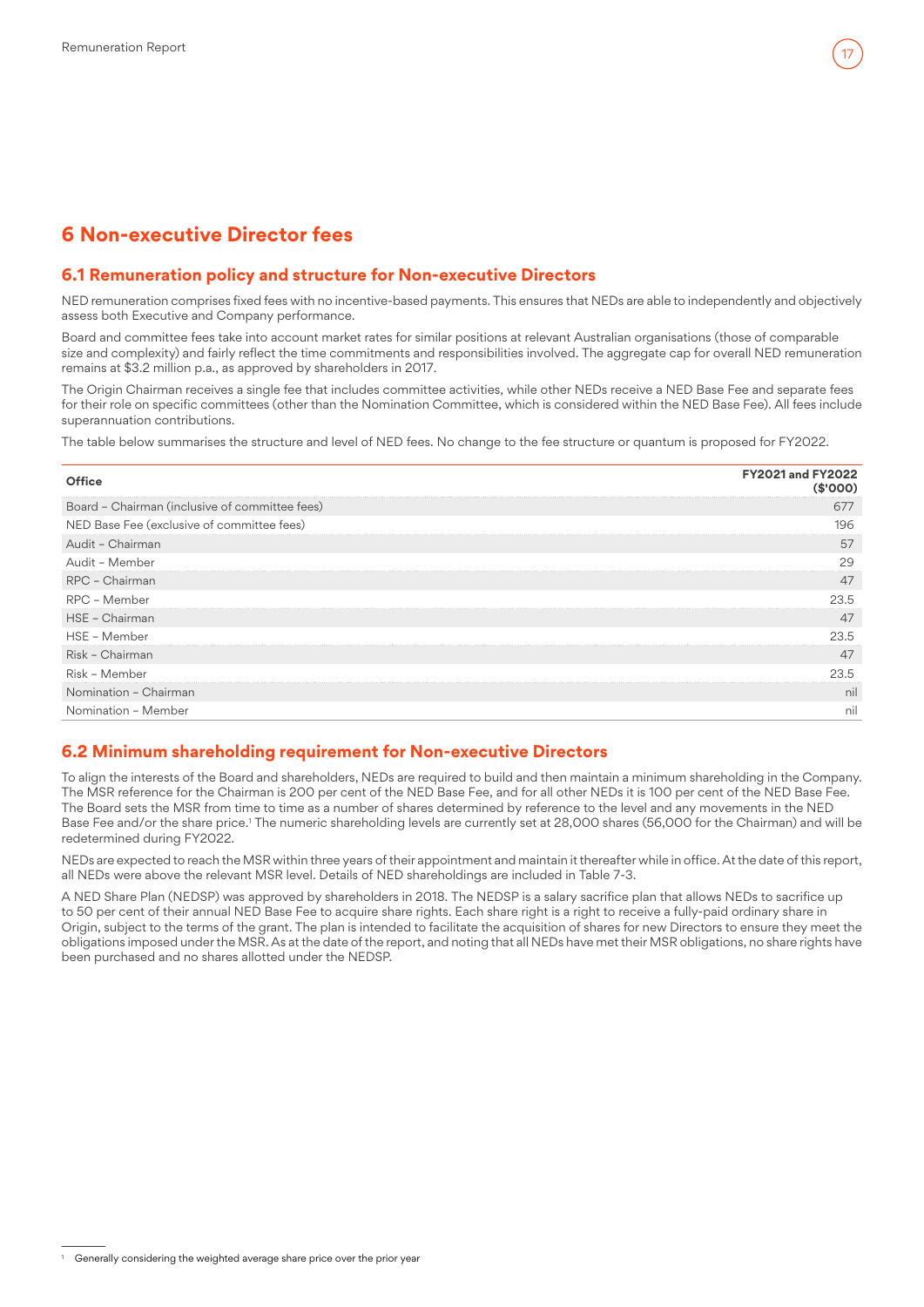## <span id="page-16-0"></span>**6 Non-executive Director fees**

## **6.1 Remuneration policy and structure for Non-executive Directors**

NED remuneration comprises fixed fees with no incentive-based payments. This ensures that NEDs are able to independently and objectively assess both Executive and Company performance.

Board and committee fees take into account market rates for similar positions at relevant Australian organisations (those of comparable size and complexity) and fairly reflect the time commitments and responsibilities involved. The aggregate cap for overall NED remuneration remains at \$3.2 million p.a., as approved by shareholders in 2017.

The Origin Chairman receives a single fee that includes committee activities, while other NEDs receive a NED Base Fee and separate fees for their role on specific committees (other than the Nomination Committee, which is considered within the NED Base Fee). All fees include superannuation contributions.

The table below summarises the structure and level of NED fees. No change to the fee structure or quantum is proposed for FY2022.

| Office                                         | <b>FY2021 and FY2022</b><br>(\$'000) |
|------------------------------------------------|--------------------------------------|
| Board - Chairman (inclusive of committee fees) | 677                                  |
| NED Base Fee (exclusive of committee fees)     | 196                                  |
| Audit - Chairman                               | 57                                   |
| Audit - Member                                 | 29                                   |
| RPC - Chairman                                 | 47                                   |
| RPC - Member                                   | 23.5                                 |
| HSE - Chairman                                 | 47                                   |
| HSE - Member                                   | 23.5                                 |
| Risk - Chairman                                | 47                                   |
| Risk - Member                                  | 23.5                                 |
| Nomination - Chairman                          | nil                                  |
| Nomination - Member                            | nil                                  |

## **6.2 Minimum shareholding requirement for Non-executive Directors**

To align the interests of the Board and shareholders, NEDs are required to build and then maintain a minimum shareholding in the Company. The MSR reference for the Chairman is 200 per cent of the NED Base Fee, and for all other NEDs it is 100 per cent of the NED Base Fee. The Board sets the MSR from time to time as a number of shares determined by reference to the level and any movements in the NED Base Fee and/or the share price.1 The numeric shareholding levels are currently set at 28,000 shares (56,000 for the Chairman) and will be redetermined during FY2022.

NEDs are expected to reach the MSR within three years of their appointment and maintain it thereafter while in office. At the date of this report, all NEDs were above the relevant MSR level. Details of NED shareholdings are included in Table 7-3.

A NED Share Plan (NEDSP) was approved by shareholders in 2018. The NEDSP is a salary sacrifice plan that allows NEDs to sacrifice up to 50 per cent of their annual NED Base Fee to acquire share rights. Each share right is a right to receive a fully-paid ordinary share in Origin, subject to the terms of the grant. The plan is intended to facilitate the acquisition of shares for new Directors to ensure they meet the obligations imposed under the MSR. As at the date of the report, and noting that all NEDs have met their MSR obligations, no share rights have been purchased and no shares allotted under the NEDSP.

Generally considering the weighted average share price over the prior year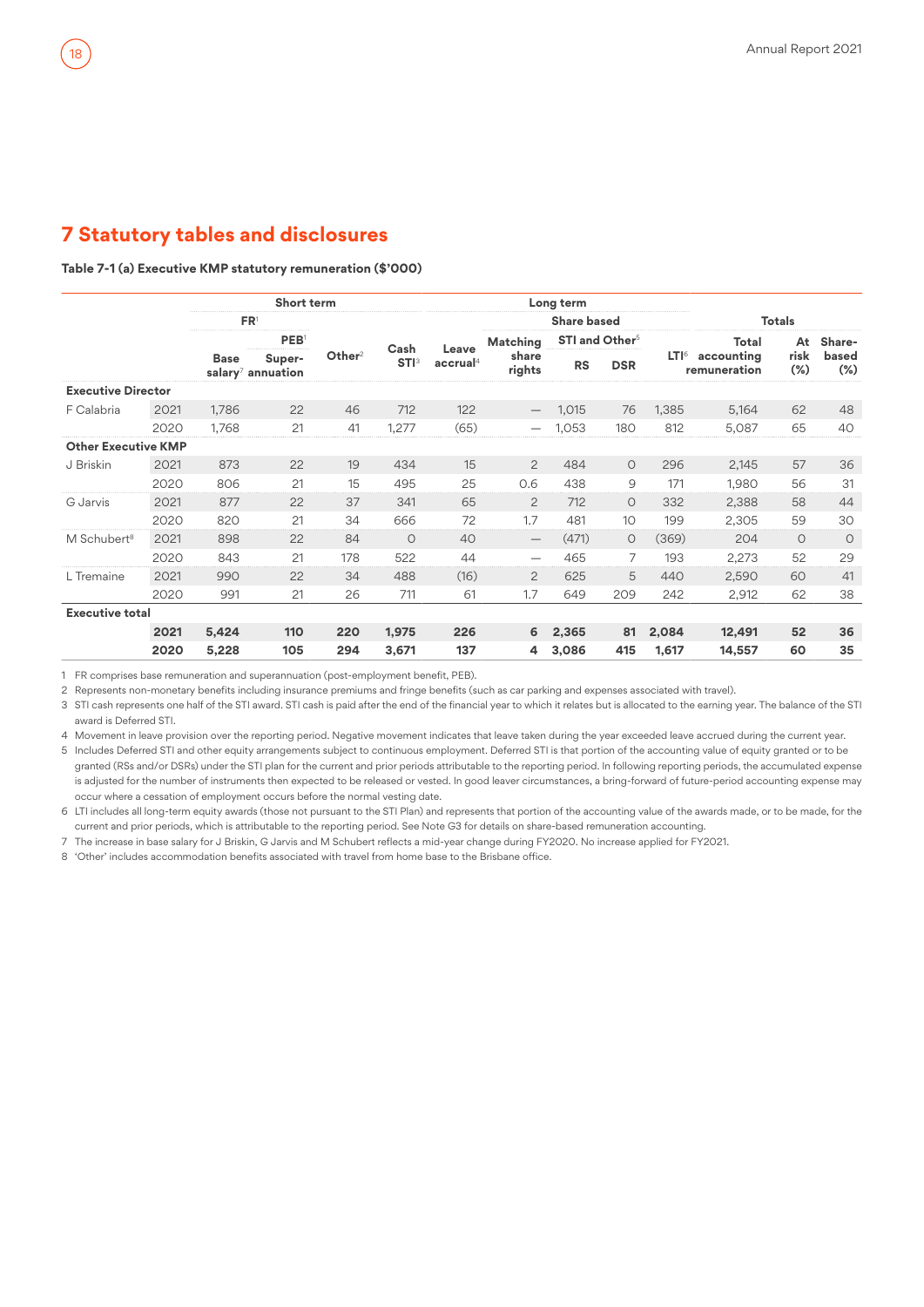#### <span id="page-17-0"></span>**Table 7-1 (a) Executive KMP statutory remuneration (\$'000)**

|                            |      |                 | <b>Short term</b>              |                    |                                 |                               |                                 | Long term          |                            |       |                                   |                |                 |
|----------------------------|------|-----------------|--------------------------------|--------------------|---------------------------------|-------------------------------|---------------------------------|--------------------|----------------------------|-------|-----------------------------------|----------------|-----------------|
|                            |      | FR <sup>1</sup> |                                |                    |                                 |                               |                                 | <b>Share based</b> |                            |       |                                   | <b>Totals</b>  |                 |
|                            |      |                 | PEB <sup>1</sup>               |                    |                                 |                               | Matching                        |                    | STI and Other <sup>5</sup> |       | Total                             | At             | Share-          |
|                            |      | <b>Base</b>     | Super-<br>salary $7$ annuation | Other <sup>2</sup> | Cash<br><b>STI</b> <sup>3</sup> | Leave<br>accrual <sup>4</sup> | share<br>rights                 | <b>RS</b>          | <b>DSR</b>                 |       | $LTI6$ accounting<br>remuneration | risk<br>$(\%)$ | based<br>$(\%)$ |
| <b>Executive Director</b>  |      |                 |                                |                    |                                 |                               |                                 |                    |                            |       |                                   |                |                 |
| F Calabria                 | 2021 | 1,786           | 22                             | 46                 | 712                             | 122                           |                                 | 1,015              | 76                         | 1,385 | 5,164                             | 62             | 48              |
|                            | 2020 | 1,768           | 21                             | 41                 | 1,277                           | (65)                          |                                 | 1,053              | 180                        | 812   | 5,087                             | 65             | 40              |
| <b>Other Executive KMP</b> |      |                 |                                |                    |                                 |                               |                                 |                    |                            |       |                                   |                |                 |
| J Briskin                  | 2021 | 873             | 22                             | 19                 | 434                             | 15                            | $\overline{2}$                  | 484                | $\circ$                    | 296   | 2,145                             | 57             | 36              |
|                            | 2020 | 806             | 21                             | 15                 | 495                             | 25                            | 0.6                             | 438                | 9                          | 171   | 1.980                             | 56             | 31              |
| G Jarvis                   | 2021 | 877             | 22                             | 37                 | 341                             | 65                            | $\overline{2}$                  | 712                | $\circ$                    | 332   | 2,388                             | 58             | 44              |
|                            | 2020 | 820             | 21                             | 34                 | 666                             | 72                            | 1.7                             | 481                | 10                         | 199   | 2,305                             | 59             | 30              |
| M Schubert <sup>8</sup>    | 2021 | 898             | 22                             | 84                 | $\circ$                         | 40                            | $\hspace{0.1mm}-\hspace{0.1mm}$ | (471)              | $\circ$                    | (369) | 204                               | $\circ$        | $\circ$         |
|                            | 2020 | 843             | 21                             | 178                | 522                             | 44                            | $\overline{\phantom{0}}$        | 465                | 7                          | 193   | 2,273                             | 52             | 29              |
| L Tremaine                 | 2021 | 990             | 22                             | 34                 | 488                             | (16)                          | $\overline{2}$                  | 625                | 5                          | 440   | 2,590                             | 60             | 41              |
|                            | 2020 | 991             | 21                             | 26                 | 711                             | 61                            | 1.7                             | 649                | 209                        | 242   | 2,912                             | 62             | 38              |
| <b>Executive total</b>     |      |                 |                                |                    |                                 |                               |                                 |                    |                            |       |                                   |                |                 |
|                            | 2021 | 5,424           | 110                            | 220                | 1,975                           | 226                           | 6                               | 2,365              | 81                         | 2,084 | 12,491                            | 52             | 36              |
|                            | 2020 | 5,228           | 105                            | 294                | 3,671                           | 137                           | 4                               | 3,086              | 415                        | 1.617 | 14.557                            | 60             | 35              |

1 FR comprises base remuneration and superannuation (post-employment benefit, PEB).

2 Represents non-monetary benefits including insurance premiums and fringe benefits (such as car parking and expenses associated with travel).

3 STI cash represents one half of the STI award. STI cash is paid after the end of the financial year to which it relates but is allocated to the earning year. The balance of the STI award is Deferred STI.

4 Movement in leave provision over the reporting period. Negative movement indicates that leave taken during the year exceeded leave accrued during the current year.

5 Includes Deferred STI and other equity arrangements subject to continuous employment. Deferred STI is that portion of the accounting value of equity granted or to be granted (RSs and/or DSRs) under the STI plan for the current and prior periods attributable to the reporting period. In following reporting periods, the accumulated expense is adjusted for the number of instruments then expected to be released or vested. In good leaver circumstances, a bring-forward of future-period accounting expense may occur where a cessation of employment occurs before the normal vesting date.

6 LTI includes all long-term equity awards (those not pursuant to the STI Plan) and represents that portion of the accounting value of the awards made, or to be made, for the current and prior periods, which is attributable to the reporting period. See Note G3 for details on share-based remuneration accounting.

7 The increase in base salary for J Briskin, G Jarvis and M Schubert reflects a mid-year change during FY2020. No increase applied for FY2021.

8 'Other' includes accommodation benefits associated with travel from home base to the Brisbane office.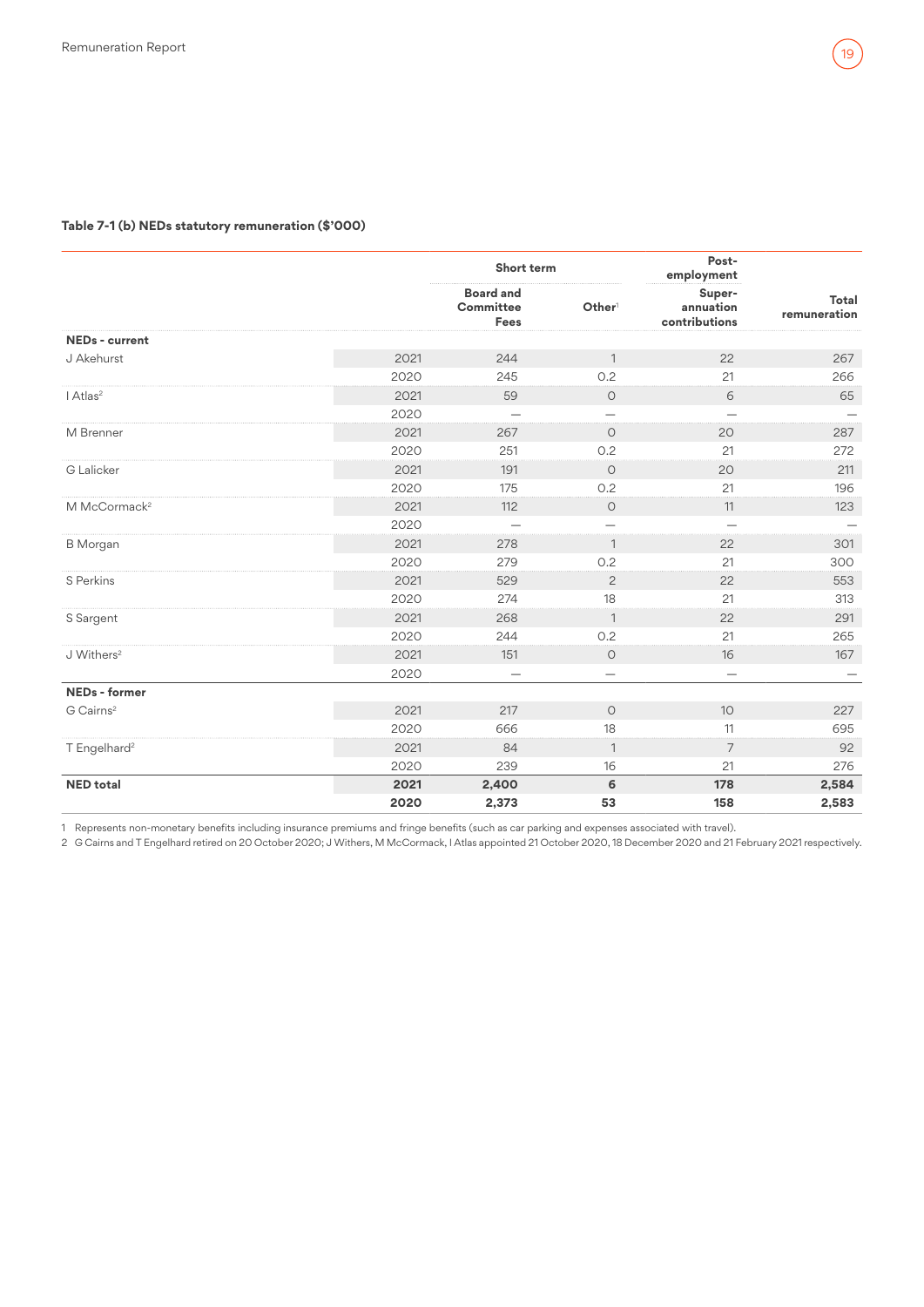#### **Table 7-1 (b) NEDs statutory remuneration (\$'000)**

|                          |      | Short term                            |                          | Post-<br>employment                  |                       |
|--------------------------|------|---------------------------------------|--------------------------|--------------------------------------|-----------------------|
|                          |      | <b>Board and</b><br>Committee<br>Fees | Other <sup>1</sup>       | Super-<br>annuation<br>contributions | Total<br>remuneration |
| <b>NEDs - current</b>    |      |                                       |                          |                                      |                       |
| J Akehurst               | 2021 | 244                                   | $\overline{1}$           | 22                                   | 267                   |
|                          | 2020 | 245                                   | 0.2                      | 21                                   | 266                   |
| I Atlas <sup>2</sup>     | 2021 | 59                                    | $\circlearrowright$      | 6                                    | 65                    |
|                          | 2020 | $\overline{\phantom{0}}$              | $\overline{\phantom{0}}$ |                                      |                       |
| M Brenner                | 2021 | 267                                   | $\circ$                  | 20                                   | 287                   |
|                          | 2020 | 251                                   | 0.2                      | 21                                   | 272                   |
| G Lalicker               | 2021 | 191                                   | $\circ$                  | 20                                   | 211                   |
|                          | 2020 | 175                                   | 0.2                      | 21                                   | 196                   |
| M McCormack <sup>2</sup> | 2021 | 112                                   | $\circ$                  | 11                                   | 123                   |
|                          | 2020 | $\overline{\phantom{0}}$              |                          |                                      |                       |
| <b>B</b> Morgan          | 2021 | 278                                   | $\mathbf{1}$             | 22                                   | 301                   |
|                          | 2020 | 279                                   | 0.2                      | 21                                   | 300                   |
| S Perkins                | 2021 | 529                                   | $\overline{c}$           | 22                                   | 553                   |
|                          | 2020 | 274                                   | 18                       | 21                                   | 313                   |
| S Sargent                | 2021 | 268                                   | $\mathbf{1}$             | 22                                   | 291                   |
|                          | 2020 | 244                                   | O.2                      | 21                                   | 265                   |
| J Withers <sup>2</sup>   | 2021 | 151                                   | $\circ$                  | 16                                   | 167                   |
|                          | 2020 | -                                     | $\overline{\phantom{0}}$ | $\overline{\phantom{0}}$             |                       |
| <b>NEDs</b> - former     |      |                                       |                          |                                      |                       |
| G Cairns <sup>2</sup>    | 2021 | 217                                   | $\circ$                  | 10                                   | 227                   |
|                          | 2020 | 666                                   | 18                       | 11                                   | 695                   |
| T Engelhard <sup>2</sup> | 2021 | 84                                    | $\mathbf{1}$             | 7                                    | 92                    |
|                          | 2020 | 239                                   | 16                       | 21                                   | 276                   |
| <b>NED</b> total         | 2021 | 2,400                                 | 6                        | 178                                  | 2,584                 |
|                          | 2020 | 2,373                                 | 53                       | 158                                  | 2,583                 |

1 Represents non-monetary benefits including insurance premiums and fringe benefits (such as car parking and expenses associated with travel).

2 G Cairns and T Engelhard retired on 20 October 2020; J Withers, M McCormack, I Atlas appointed 21 October 2020, 18 December 2020 and 21 February 2021 respectively.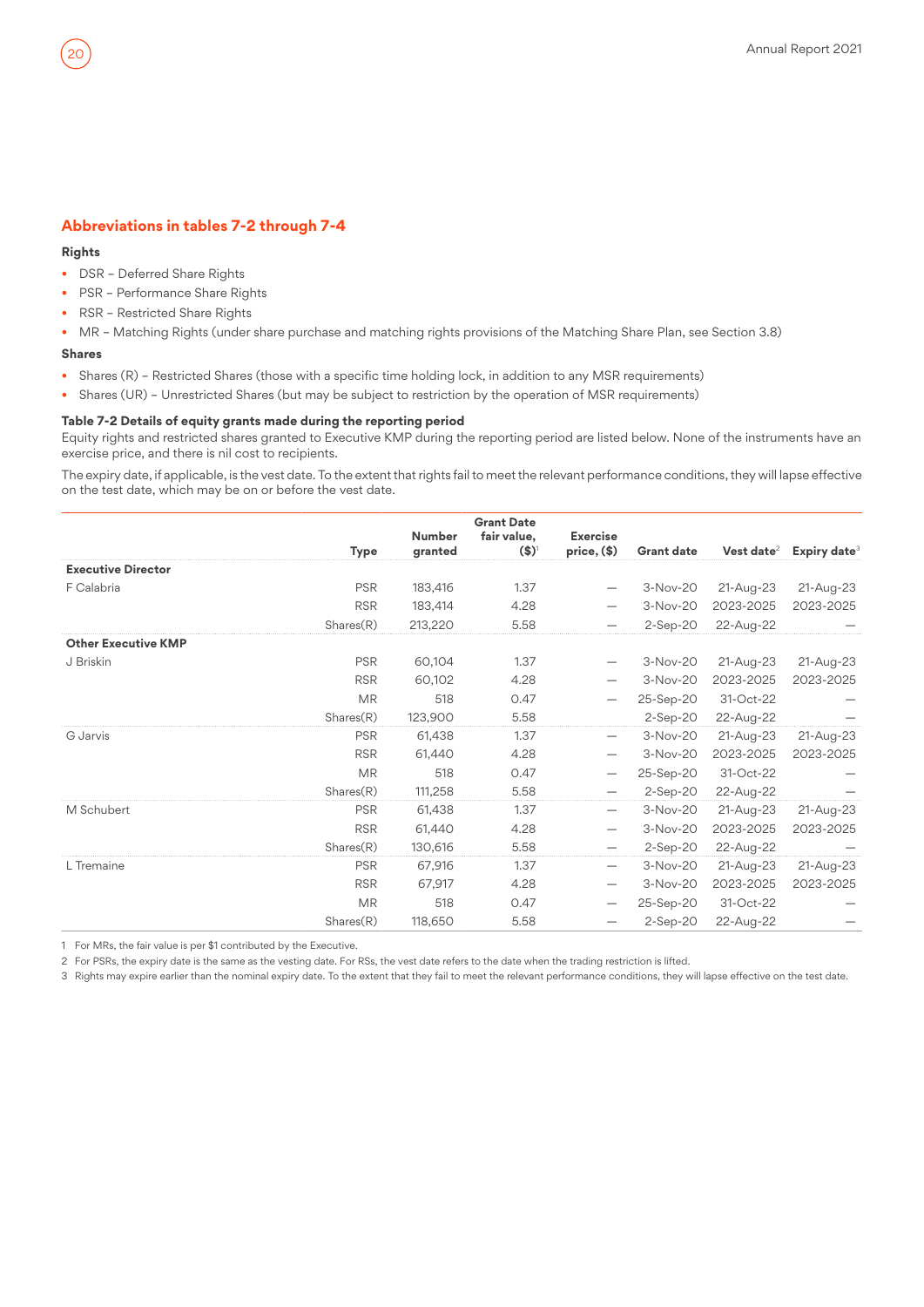## **Abbreviations in tables 7-2 through 7-4**

#### **Rights**

- DSR Deferred Share Rights
- PSR Performance Share Rights
- RSR Restricted Share Rights
- MR Matching Rights (under share purchase and matching rights provisions of the Matching Share Plan, see Section 3.8)

#### **Shares**

- Shares (R) Restricted Shares (those with a specific time holding lock, in addition to any MSR requirements)
- Shares (UR) Unrestricted Shares (but may be subject to restriction by the operation of MSR requirements)

#### **Table 7-2 Details of equity grants made during the reporting period**

Equity rights and restricted shares granted to Executive KMP during the reporting period are listed below. None of the instruments have an exercise price, and there is nil cost to recipients.

The expiry date, if applicable, is the vest date. To the extent that rights fail to meet the relevant performance conditions, they will lapse effective on the test date, which may be on or before the vest date.

| <b>Executive Director</b><br>F Calabria<br><b>PSR</b><br>183,416<br>1.37<br>3-Nov-20<br>21-Aug-23<br>21-Aug-23<br><b>RSR</b><br>2023-2025<br>183,414<br>4.28<br>3-Nov-20<br>2023-2025<br>Shares(R)<br>5.58<br>$2-Sep-20$<br>213,220<br>22-Aug-22<br><b>Other Executive KMP</b><br><b>PSR</b><br>J Briskin<br>60,104<br>1.37<br>3-Nov-20<br>21-Aug-23<br>21-Aug-23<br><b>RSR</b><br>4.28<br>3-Nov-20<br>2023-2025<br>2023-2025<br>60,102<br>518<br>31-Oct-22<br><b>MR</b><br>0.47<br>25-Sep-20<br>Shares(R)<br>123,900<br>5.58<br>22-Aug-22<br>$2-Sep-20$<br>3-Nov-20<br><b>PSR</b><br>61,438<br>1.37<br>21-Aug-23<br>21-Aug-23<br>G Jarvis<br>$\qquad \qquad -$<br><b>RSR</b><br>4.28<br>3-Nov-20<br>2023-2025<br>2023-2025<br>61,440<br><b>MR</b><br>518<br>0.47<br>31-Oct-22<br>25-Sep-20<br>Shares(R)<br>111,258<br>5.58<br>$2-Sep-20$<br>22-Aug-22<br><b>PSR</b><br>61,438<br>1.37<br>3-Nov-20<br>M Schubert<br>21-Aug-23<br>21-Aug-23<br><b>RSR</b><br>61,440<br>4.28<br>3-Nov-20<br>2023-2025<br>2023-2025<br>Shares(R)<br>5.58<br>130,616<br>$2-Sep-20$<br>22-Aug-22<br><b>PSR</b><br>67,916<br>1.37<br>L Tremaine<br>3-Nov-20<br>21-Aug-23<br>21-Aug-23<br><b>RSR</b><br>4.28<br>2023-2025<br>3-Nov-20<br>2023-2025<br>67,917<br><b>MR</b><br>31-Oct-22<br>518<br>0.47<br>25-Sep-20<br>Shares(R)<br>118,650<br>5.58<br>$2-Sep-20$<br>22-Aug-22 | <b>Type</b> | <b>Number</b><br>granted | <b>Grant Date</b><br>fair value,<br>$($ \$) | <b>Exercise</b><br>$price, (\$)$ | <b>Grant date</b> | Vest date $2$ | Expiry date <sup>3</sup> |
|--------------------------------------------------------------------------------------------------------------------------------------------------------------------------------------------------------------------------------------------------------------------------------------------------------------------------------------------------------------------------------------------------------------------------------------------------------------------------------------------------------------------------------------------------------------------------------------------------------------------------------------------------------------------------------------------------------------------------------------------------------------------------------------------------------------------------------------------------------------------------------------------------------------------------------------------------------------------------------------------------------------------------------------------------------------------------------------------------------------------------------------------------------------------------------------------------------------------------------------------------------------------------------------------------------------------------------------------------------|-------------|--------------------------|---------------------------------------------|----------------------------------|-------------------|---------------|--------------------------|
|                                                                                                                                                                                                                                                                                                                                                                                                                                                                                                                                                                                                                                                                                                                                                                                                                                                                                                                                                                                                                                                                                                                                                                                                                                                                                                                                                        |             |                          |                                             |                                  |                   |               |                          |
|                                                                                                                                                                                                                                                                                                                                                                                                                                                                                                                                                                                                                                                                                                                                                                                                                                                                                                                                                                                                                                                                                                                                                                                                                                                                                                                                                        |             |                          |                                             |                                  |                   |               |                          |
|                                                                                                                                                                                                                                                                                                                                                                                                                                                                                                                                                                                                                                                                                                                                                                                                                                                                                                                                                                                                                                                                                                                                                                                                                                                                                                                                                        |             |                          |                                             |                                  |                   |               |                          |
|                                                                                                                                                                                                                                                                                                                                                                                                                                                                                                                                                                                                                                                                                                                                                                                                                                                                                                                                                                                                                                                                                                                                                                                                                                                                                                                                                        |             |                          |                                             |                                  |                   |               |                          |
|                                                                                                                                                                                                                                                                                                                                                                                                                                                                                                                                                                                                                                                                                                                                                                                                                                                                                                                                                                                                                                                                                                                                                                                                                                                                                                                                                        |             |                          |                                             |                                  |                   |               |                          |
|                                                                                                                                                                                                                                                                                                                                                                                                                                                                                                                                                                                                                                                                                                                                                                                                                                                                                                                                                                                                                                                                                                                                                                                                                                                                                                                                                        |             |                          |                                             |                                  |                   |               |                          |
|                                                                                                                                                                                                                                                                                                                                                                                                                                                                                                                                                                                                                                                                                                                                                                                                                                                                                                                                                                                                                                                                                                                                                                                                                                                                                                                                                        |             |                          |                                             |                                  |                   |               |                          |
|                                                                                                                                                                                                                                                                                                                                                                                                                                                                                                                                                                                                                                                                                                                                                                                                                                                                                                                                                                                                                                                                                                                                                                                                                                                                                                                                                        |             |                          |                                             |                                  |                   |               |                          |
|                                                                                                                                                                                                                                                                                                                                                                                                                                                                                                                                                                                                                                                                                                                                                                                                                                                                                                                                                                                                                                                                                                                                                                                                                                                                                                                                                        |             |                          |                                             |                                  |                   |               |                          |
|                                                                                                                                                                                                                                                                                                                                                                                                                                                                                                                                                                                                                                                                                                                                                                                                                                                                                                                                                                                                                                                                                                                                                                                                                                                                                                                                                        |             |                          |                                             |                                  |                   |               |                          |
|                                                                                                                                                                                                                                                                                                                                                                                                                                                                                                                                                                                                                                                                                                                                                                                                                                                                                                                                                                                                                                                                                                                                                                                                                                                                                                                                                        |             |                          |                                             |                                  |                   |               |                          |
|                                                                                                                                                                                                                                                                                                                                                                                                                                                                                                                                                                                                                                                                                                                                                                                                                                                                                                                                                                                                                                                                                                                                                                                                                                                                                                                                                        |             |                          |                                             |                                  |                   |               |                          |
|                                                                                                                                                                                                                                                                                                                                                                                                                                                                                                                                                                                                                                                                                                                                                                                                                                                                                                                                                                                                                                                                                                                                                                                                                                                                                                                                                        |             |                          |                                             |                                  |                   |               |                          |
|                                                                                                                                                                                                                                                                                                                                                                                                                                                                                                                                                                                                                                                                                                                                                                                                                                                                                                                                                                                                                                                                                                                                                                                                                                                                                                                                                        |             |                          |                                             |                                  |                   |               |                          |
|                                                                                                                                                                                                                                                                                                                                                                                                                                                                                                                                                                                                                                                                                                                                                                                                                                                                                                                                                                                                                                                                                                                                                                                                                                                                                                                                                        |             |                          |                                             |                                  |                   |               |                          |
|                                                                                                                                                                                                                                                                                                                                                                                                                                                                                                                                                                                                                                                                                                                                                                                                                                                                                                                                                                                                                                                                                                                                                                                                                                                                                                                                                        |             |                          |                                             |                                  |                   |               |                          |
|                                                                                                                                                                                                                                                                                                                                                                                                                                                                                                                                                                                                                                                                                                                                                                                                                                                                                                                                                                                                                                                                                                                                                                                                                                                                                                                                                        |             |                          |                                             |                                  |                   |               |                          |
|                                                                                                                                                                                                                                                                                                                                                                                                                                                                                                                                                                                                                                                                                                                                                                                                                                                                                                                                                                                                                                                                                                                                                                                                                                                                                                                                                        |             |                          |                                             |                                  |                   |               |                          |
|                                                                                                                                                                                                                                                                                                                                                                                                                                                                                                                                                                                                                                                                                                                                                                                                                                                                                                                                                                                                                                                                                                                                                                                                                                                                                                                                                        |             |                          |                                             |                                  |                   |               |                          |
|                                                                                                                                                                                                                                                                                                                                                                                                                                                                                                                                                                                                                                                                                                                                                                                                                                                                                                                                                                                                                                                                                                                                                                                                                                                                                                                                                        |             |                          |                                             |                                  |                   |               |                          |

1 For MRs, the fair value is per \$1 contributed by the Executive.

2 For PSRs, the expiry date is the same as the vesting date. For RSs, the vest date refers to the date when the trading restriction is lifted.

3 Rights may expire earlier than the nominal expiry date. To the extent that they fail to meet the relevant performance conditions, they will lapse effective on the test date.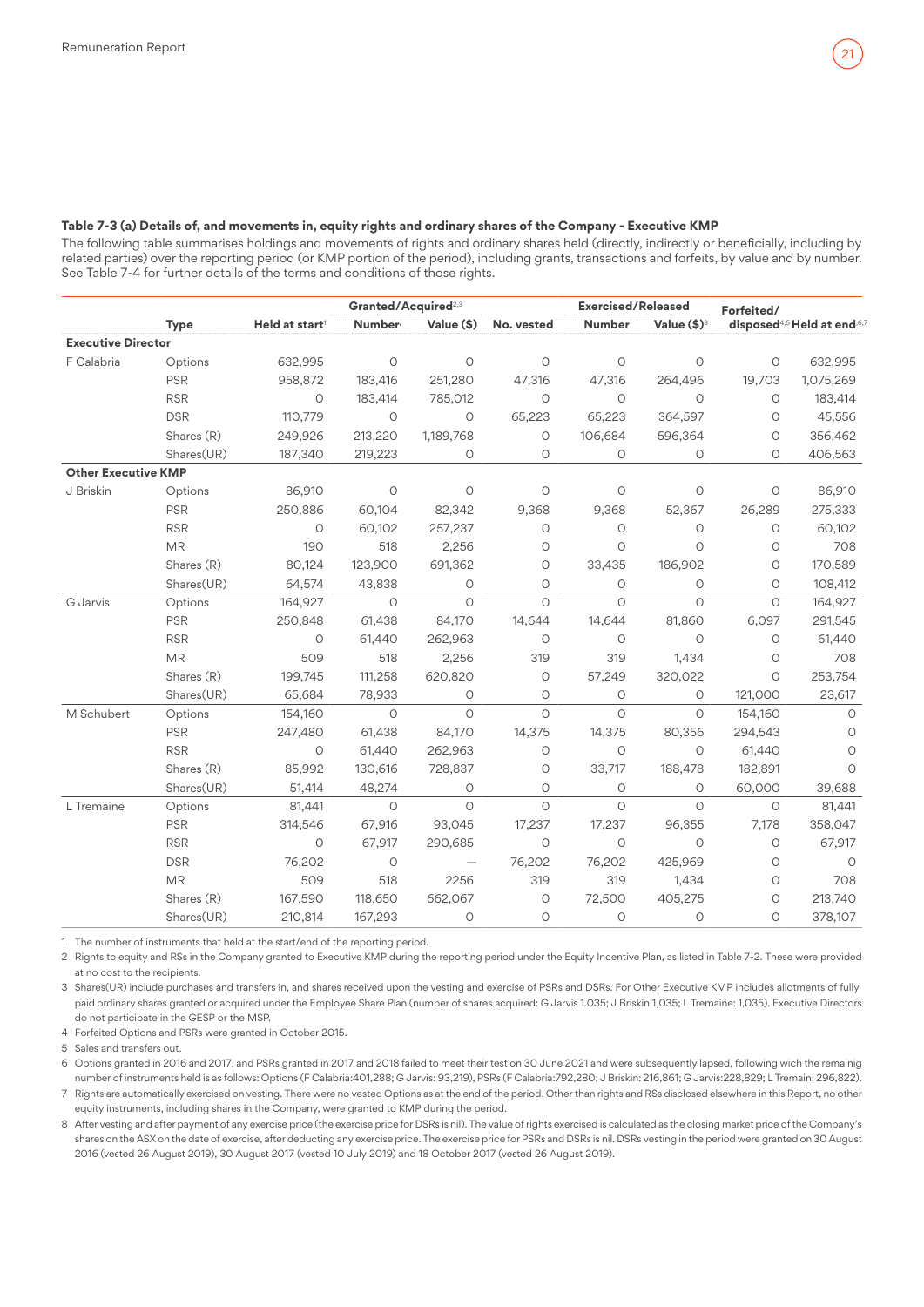#### **Table 7-3 (a) Details of, and movements in, equity rights and ordinary shares of the Company - Executive KMP**

The following table summarises holdings and movements of rights and ordinary shares held (directly, indirectly or beneficially, including by related parties) over the reporting period (or KMP portion of the period), including grants, transactions and forfeits, by value and by number. See Table 7-4 for further details of the terms and conditions of those rights.

|                            |             |                            | Granted/Acquired <sup>2,3</sup> |                          |            | <b>Exercised/Released</b> |                      |         | Forfeited/                              |  |  |
|----------------------------|-------------|----------------------------|---------------------------------|--------------------------|------------|---------------------------|----------------------|---------|-----------------------------------------|--|--|
|                            | <b>Type</b> | Held at start <sup>1</sup> | Number <sup>,</sup>             | Value (\$)               | No. vested | Number                    | Value $(\$)^{\circ}$ |         | disposed <sup>4,5</sup> Held at end,6,7 |  |  |
| <b>Executive Director</b>  |             |                            |                                 |                          |            |                           |                      |         |                                         |  |  |
| F Calabria                 | Options     | 632,995                    | $\circ$                         | $\circ$                  | $\circ$    | $\circ$                   | $\circ$              | $\circ$ | 632,995                                 |  |  |
|                            | <b>PSR</b>  | 958,872                    | 183,416                         | 251,280                  | 47,316     | 47,316                    | 264,496              | 19,703  | 1,075,269                               |  |  |
|                            | <b>RSR</b>  | $\circ$                    | 183,414                         | 785,012                  | $\circ$    | $\circ$                   | $\circ$              | $\circ$ | 183,414                                 |  |  |
|                            | <b>DSR</b>  | 110,779                    | $\circ$                         | $\circ$                  | 65,223     | 65,223                    | 364,597              | $\circ$ | 45,556                                  |  |  |
|                            | Shares (R)  | 249,926                    | 213,220                         | 1,189,768                | $\circ$    | 106,684                   | 596,364              | O       | 356,462                                 |  |  |
|                            | Shares(UR)  | 187,340                    | 219,223                         | $\circ$                  | $\circ$    | $\circ$                   | $\circ$              | $\circ$ | 406,563                                 |  |  |
| <b>Other Executive KMP</b> |             |                            |                                 |                          |            |                           |                      |         |                                         |  |  |
| J Briskin                  | Options     | 86,910                     | $\circ$                         | $\circ$                  | $\circ$    | $\circ$                   | $\circ$              | $\circ$ | 86,910                                  |  |  |
|                            | <b>PSR</b>  | 250,886                    | 60,104                          | 82,342                   | 9,368      | 9,368                     | 52,367               | 26,289  | 275,333                                 |  |  |
|                            | <b>RSR</b>  | $\circ$                    | 60,102                          | 257,237                  | $\circ$    | $\circ$                   | $\circ$              | $\circ$ | 60,102                                  |  |  |
|                            | <b>MR</b>   | 190                        | 518                             | 2,256                    | O          | $\circ$                   | $\circ$              | O       | 708                                     |  |  |
|                            | Shares (R)  | 80,124                     | 123,900                         | 691,362                  | $\circ$    | 33,435                    | 186,902              | $\circ$ | 170,589                                 |  |  |
|                            | Shares(UR)  | 64,574                     | 43,838                          | O                        | $\circ$    | $\circ$                   | $\circ$              | $\circ$ | 108,412                                 |  |  |
| G Jarvis                   | Options     | 164,927                    | $\circ$                         | $\circ$                  | $\circ$    | $\circ$                   | $\circ$              | $\circ$ | 164,927                                 |  |  |
|                            | <b>PSR</b>  | 250,848                    | 61,438                          | 84,170                   | 14,644     | 14,644                    | 81,860               | 6,097   | 291,545                                 |  |  |
|                            | <b>RSR</b>  | $\circ$                    | 61,440                          | 262,963                  | $\circ$    | $\circ$                   | $\circ$              | $\circ$ | 61,440                                  |  |  |
|                            | <b>MR</b>   | 509                        | 518                             | 2,256                    | 319        | 319                       | 1,434                | $\circ$ | 708                                     |  |  |
|                            | Shares (R)  | 199,745                    | 111,258                         | 620,820                  | 0          | 57,249                    | 320,022              | $\circ$ | 253,754                                 |  |  |
|                            | Shares(UR)  | 65,684                     | 78,933                          | $\circ$                  | $\circ$    | $\circ$                   | $\circ$              | 121,000 | 23,617                                  |  |  |
| M Schubert                 | Options     | 154,160                    | $\circ$                         | $\circ$                  | $\Omega$   | $\circ$                   | $\circ$              | 154,160 | $\circ$                                 |  |  |
|                            | <b>PSR</b>  | 247,480                    | 61,438                          | 84,170                   | 14,375     | 14,375                    | 80,356               | 294,543 | $\circ$                                 |  |  |
|                            | <b>RSR</b>  | $\circ$                    | 61,440                          | 262,963                  | $\circ$    | $\circlearrowright$       | $\circ$              | 61,440  | $\circ$                                 |  |  |
|                            | Shares (R)  | 85,992                     | 130,616                         | 728,837                  | О          | 33,717                    | 188,478              | 182,891 | $\circ$                                 |  |  |
|                            | Shares(UR)  | 51,414                     | 48,274                          | $\circ$                  | $\circ$    | $\circ$                   | 0                    | 60,000  | 39,688                                  |  |  |
| L Tremaine                 | Options     | 81,441                     | $\circ$                         | $\circ$                  | $\circ$    | $\circ$                   | $\circ$              | $\circ$ | 81,441                                  |  |  |
|                            | <b>PSR</b>  | 314,546                    | 67,916                          | 93,045                   | 17,237     | 17,237                    | 96,355               | 7,178   | 358,047                                 |  |  |
|                            | <b>RSR</b>  | $\circ$                    | 67,917                          | 290,685                  | $\circ$    | $\circ$                   | $\circ$              | $\circ$ | 67,917                                  |  |  |
|                            | <b>DSR</b>  | 76,202                     | $\circ$                         | $\overline{\phantom{0}}$ | 76,202     | 76,202                    | 425,969              | O       | $\circ$                                 |  |  |
|                            | <b>MR</b>   | 509                        | 518                             | 2256                     | 319        | 319                       | 1,434                | O       | 708                                     |  |  |
|                            | Shares (R)  | 167,590                    | 118,650                         | 662,067                  | $\circ$    | 72,500                    | 405,275              | $\circ$ | 213,740                                 |  |  |
|                            | Shares(UR)  | 210,814                    | 167,293                         | $\circ$                  | $\circ$    | O                         | $\circ$              | 0       | 378,107                                 |  |  |

1 The number of instruments that held at the start/end of the reporting period.

2 Rights to equity and RSs in the Company granted to Executive KMP during the reporting period under the Equity Incentive Plan, as listed in Table 7-2. These were provided at no cost to the recipients.

3 Shares(UR) include purchases and transfers in, and shares received upon the vesting and exercise of PSRs and DSRs. For Other Executive KMP includes allotments of fully paid ordinary shares granted or acquired under the Employee Share Plan (number of shares acquired: G Jarvis 1.035; J Briskin 1,035; L Tremaine: 1,035). Executive Directors do not participate in the GESP or the MSP.

4 Forfeited Options and PSRs were granted in October 2015.

5 Sales and transfers out.

6 Options granted in 2016 and 2017, and PSRs granted in 2017 and 2018 failed to meet their test on 30 June 2021 and were subsequently lapsed, following wich the remainig number of instruments held is as follows: Options (F Calabria:401,288; G Jarvis: 93,219), PSRs (F Calabria:792,280; J Briskin: 216,861; G Jarvis:228,829; L Tremain: 296,822). 7 Rights are automatically exercised on vesting. There were no vested Options as at the end of the period. Other than rights and RSs disclosed elsewhere in this Report, no other equity instruments, including shares in the Company, were granted to KMP during the period.

8 After vesting and after payment of any exercise price (the exercise price for DSRs is nil). The value of rights exercised is calculated as the closing market price of the Company's shares on the ASX on the date of exercise, after deducting any exercise price. The exercise price for PSRs and DSRs is nil. DSRs vesting in the period were granted on 30 August 2016 (vested 26 August 2019), 30 August 2017 (vested 10 July 2019) and 18 October 2017 (vested 26 August 2019).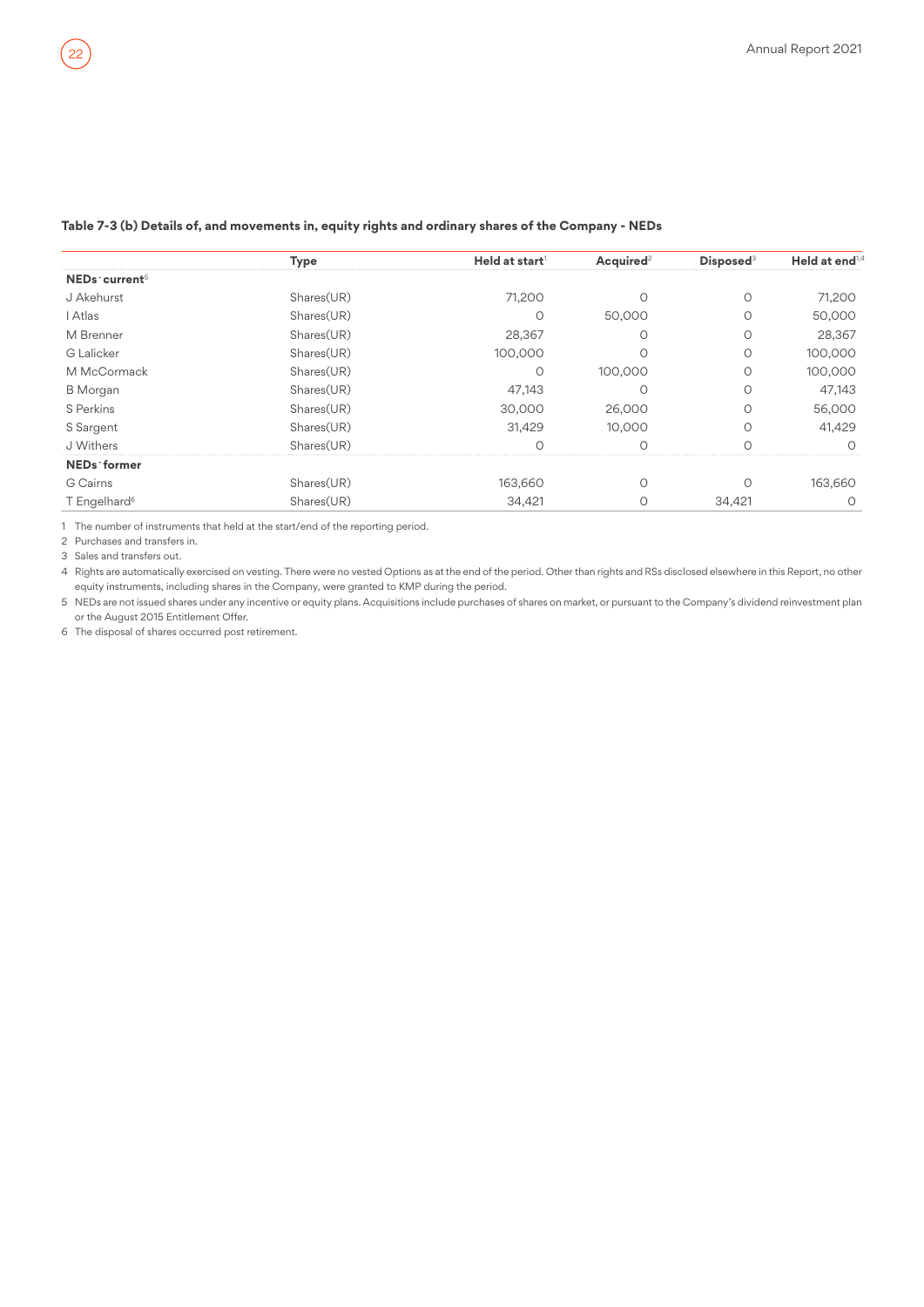|                           | Type       | Held at start <sup>1</sup> | Acquired <sup>2</sup> | <b>Disposed</b> <sup>3</sup> | Held at end <sup>1,4</sup> |
|---------------------------|------------|----------------------------|-----------------------|------------------------------|----------------------------|
| NEDs current <sup>5</sup> |            |                            |                       |                              |                            |
| J Akehurst                | Shares(UR) | 71,200                     |                       |                              | 71,200                     |
| I Atlas                   | Shares(UR) | Ω                          | 50,000                |                              | 50,000                     |
| M Brenner                 | Shares(UR) | 28,367                     |                       |                              | 28,367                     |
| <b>G</b> Lalicker         | Shares(UR) | 100,000                    |                       |                              | 100,000                    |
| M McCormack               | Shares(UR) | O                          | 100,000               | Ο                            | 100,000                    |
| <b>B</b> Morgan           | Shares(UR) | 47.143                     |                       |                              | 47.143                     |
| S Perkins                 | Shares(UR) | 30,000                     | 26,000                | Ω                            | 56,000                     |
| S Sargent                 | Shares(UR) | 31.429                     | 10,000                |                              | 41,429                     |
| J Withers                 | Shares(UR) |                            |                       |                              |                            |
| NEDs former               |            |                            |                       |                              |                            |
| G Cairns                  | Shares(UR) | 163,660                    |                       |                              | 163,660                    |
| T Engelhard <sup>6</sup>  | Shares(UR) | 34,421                     |                       | 34,421                       |                            |

#### **Table 7-3 (b) Details of, and movements in, equity rights and ordinary shares of the Company - NEDs**

1 The number of instruments that held at the start/end of the reporting period.

2 Purchases and transfers in.

3 Sales and transfers out.

4 Rights are automatically exercised on vesting. There were no vested Options as at the end of the period. Other than rights and RSs disclosed elsewhere in this Report, no other equity instruments, including shares in the Company, were granted to KMP during the period.

5 NEDs are not issued shares under any incentive or equity plans. Acquisitions include purchases of shares on market, or pursuant to the Company's dividend reinvestment plan or the August 2015 Entitlement Offer.

6 The disposal of shares occurred post retirement.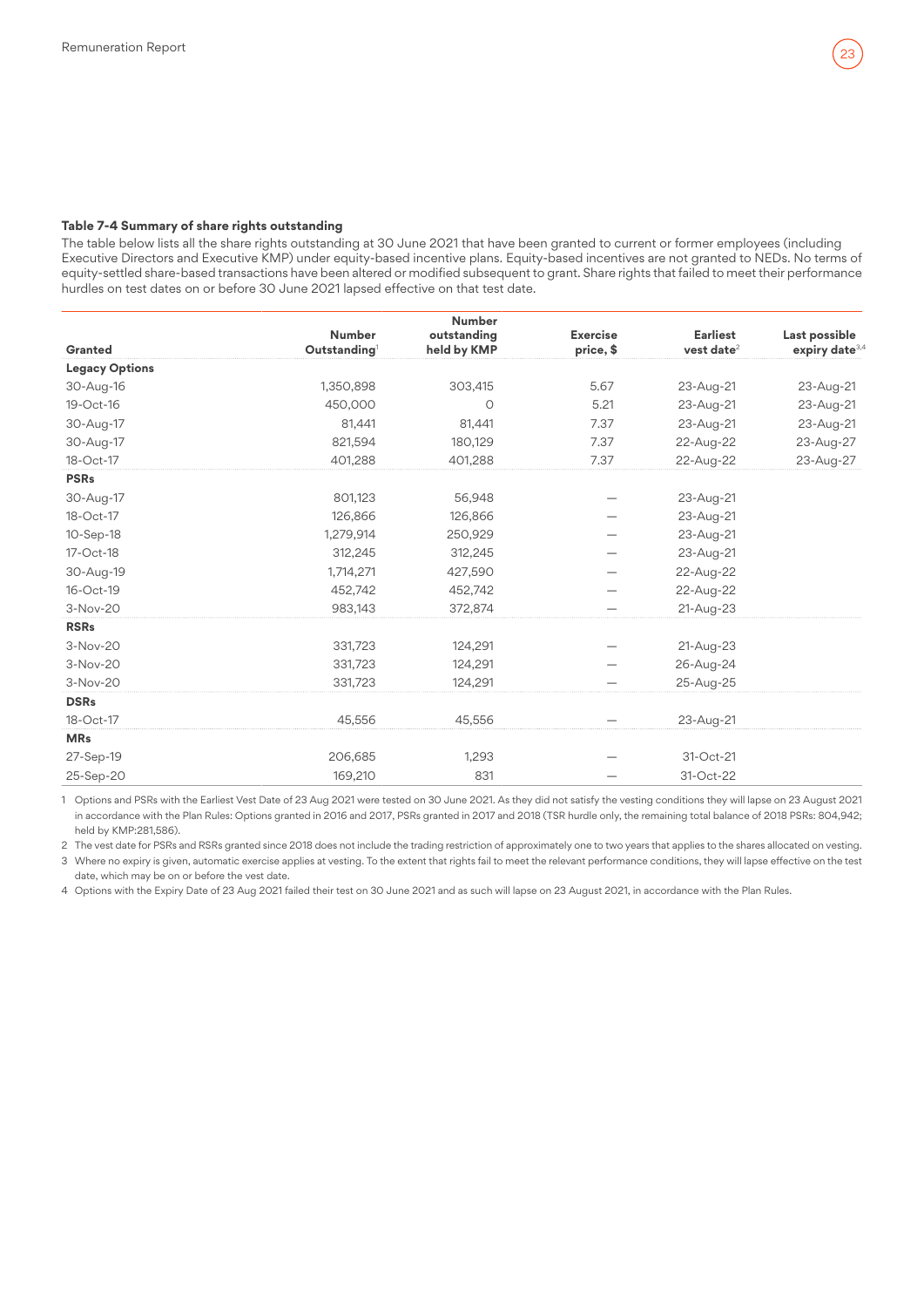#### **Table 7-4 Summary of share rights outstanding**

The table below lists all the share rights outstanding at 30 June 2021 that have been granted to current or former employees (including Executive Directors and Executive KMP) under equity-based incentive plans. Equity-based incentives are not granted to NEDs. No terms of equity-settled share-based transactions have been altered or modified subsequent to grant. Share rights that failed to meet their performance hurdles on test dates on or before 30 June 2021 lapsed effective on that test date.

|                       |                                           | <b>Number</b>              |                              |                                           |                                             |
|-----------------------|-------------------------------------------|----------------------------|------------------------------|-------------------------------------------|---------------------------------------------|
| Granted               | <b>Number</b><br>Outstanding <sup>1</sup> | outstanding<br>held by KMP | <b>Exercise</b><br>price, \$ | <b>Earliest</b><br>vest date <sup>2</sup> | Last possible<br>expiry date <sup>3,4</sup> |
| <b>Legacy Options</b> |                                           |                            |                              |                                           |                                             |
| 30-Aug-16             | 1,350,898                                 | 303,415                    | 5.67                         | 23-Aug-21                                 | 23-Aug-21                                   |
| 19-Oct-16             | 450,000                                   | $\circ$                    | 5.21                         | 23-Aug-21                                 | 23-Aug-21                                   |
| 30-Aug-17             | 81.441                                    | 81,441                     | 7.37                         | 23-Aug-21                                 | 23-Aug-21                                   |
| 30-Aug-17             | 821.594                                   | 180,129                    | 7.37                         | 22-Aug-22                                 | 23-Aug-27                                   |
| 18-Oct-17             | 401,288                                   | 401,288                    | 7.37                         | 22-Aug-22                                 | 23-Aug-27                                   |
| <b>PSRs</b>           |                                           |                            |                              |                                           |                                             |
| 30-Aug-17             | 801,123                                   | 56,948                     |                              | 23-Aug-21                                 |                                             |
| 18-Oct-17             | 126,866                                   | 126,866                    |                              | 23-Aug-21                                 |                                             |
| 10-Sep-18             | 1,279,914                                 | 250,929                    |                              | 23-Aug-21                                 |                                             |
| 17-Oct-18             | 312,245                                   | 312,245                    |                              | 23-Aug-21                                 |                                             |
| 30-Aug-19             | 1,714,271                                 | 427,590                    |                              | 22-Aug-22                                 |                                             |
| 16-Oct-19             | 452,742                                   | 452,742                    |                              | 22-Aug-22                                 |                                             |
| 3-Nov-20              | 983,143                                   | 372,874                    |                              | 21-Aug-23                                 |                                             |
| <b>RSRs</b>           |                                           |                            |                              |                                           |                                             |
| 3-Nov-20              | 331,723                                   | 124,291                    |                              | 21-Aug-23                                 |                                             |
| 3-Nov-20              | 331,723                                   | 124,291                    |                              | 26-Aug-24                                 |                                             |
| 3-Nov-20              | 331,723                                   | 124,291                    |                              | 25-Aug-25                                 |                                             |
| <b>DSRs</b>           |                                           |                            |                              |                                           |                                             |
| 18-Oct-17             | 45,556                                    | 45,556                     |                              | 23-Aug-21                                 |                                             |
| <b>MRs</b>            |                                           |                            |                              |                                           |                                             |
| 27-Sep-19             | 206,685                                   | 1,293                      |                              | 31-Oct-21                                 |                                             |
| 25-Sep-20             | 169,210                                   | 831                        |                              | 31-Oct-22                                 |                                             |

1 Options and PSRs with the Earliest Vest Date of 23 Aug 2021 were tested on 30 June 2021. As they did not satisfy the vesting conditions they will lapse on 23 August 2021 in accordance with the Plan Rules: Options granted in 2016 and 2017, PSRs granted in 2017 and 2018 (TSR hurdle only, the remaining total balance of 2018 PSRs: 804,942; held by KMP:281,586).

2 The vest date for PSRs and RSRs granted since 2018 does not include the trading restriction of approximately one to two years that applies to the shares allocated on vesting.

3 Where no expiry is given, automatic exercise applies at vesting. To the extent that rights fail to meet the relevant performance conditions, they will lapse effective on the test date, which may be on or before the vest date.

4 Options with the Expiry Date of 23 Aug 2021 failed their test on 30 June 2021 and as such will lapse on 23 August 2021, in accordance with the Plan Rules.